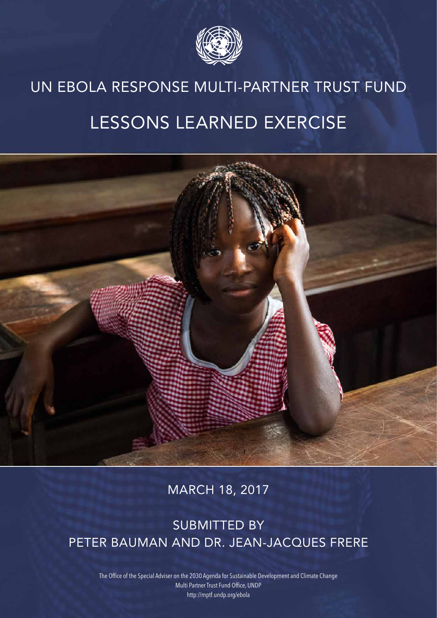

# UN EBOLA RESPONSE Multi-Partner Trust Fund Lessons Learned Exercise



March 18, 2017

SUBMITTED BY Peter Bauman and Dr. Jean-Jacques Frere

> The Office of the Special Adviser on the 2030 Agenda for Sustainable Development and Climate Change Multi Partner Trust Fund Office, UNDP <http://mptf.undp.org/ebola>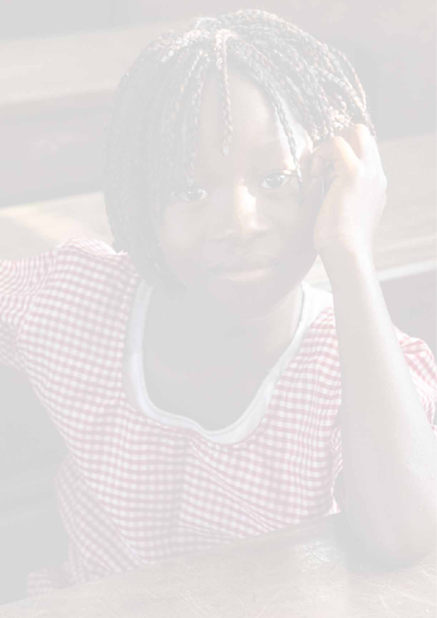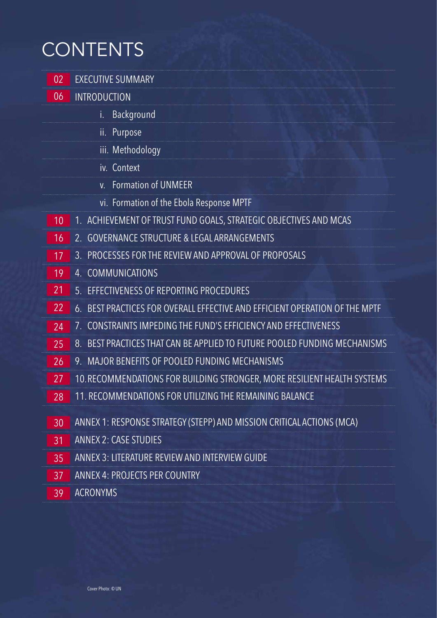# **CONTENTS**

EXECUTIVE SUMMARY 02

#### INTRODUCTION 06

- i. Background
- ii. Purpose
- iii. Methodology
- iv. Context
- v. Formation of UNMEER
- vi. Formation of the Ebola Response MPTF
- 1. ACHIEVEMENT OF TRUST FUND GOALS, STRATEGIC OBJECTIVES AND MCAS 10
- 2. GOVERNANCE STRUCTURE & LEGAL ARRANGEMENTS 16
- 3. PROCESSES FOR THE REVIEW AND APPROVAL OF PROPOSALS 17
- 4. COMMUNICATIONS 19
- 5. EFFECTIVENESS OF REPORTING PROCEDURES 21
- 6. BEST PRACTICES FOR OVERALL EFFECTIVE AND EFFICIENT OPERATION OF THE MPTF 22
- 7. CONSTRAINTS IMPEDING THE FUND'S EFFICIENCY AND EFFECTIVENESS 24
- 8. BEST PRACTICES THAT CAN BE APPLIED TO FUTURE POOLED FUNDING MECHANISMS 25
- 9. MAJOR BENEFITS OF POOLED FUNDING MECHANISMS 26
- 10.RECOMMENDATIONS FOR BUILDING STRONGER, MORE RESILIENT HEALTH SYSTEMS 27
- 11. RECOMMENDATIONS FOR UTILIZING THE REMAINING BALANCE 28
- ANNEX 1: RESPONSE STRATEGY (STEPP) AND MISSION CRITICAL ACTIONS (MCA) 30
- ANNEX 2: CASE STUDIES 31
- ANNEX 3: LITERATURE REVIEW AND INTERVIEW GUIDE 35
- ANNEX 4: PROJECTS PER COUNTRY 37
- ACRONYMS 39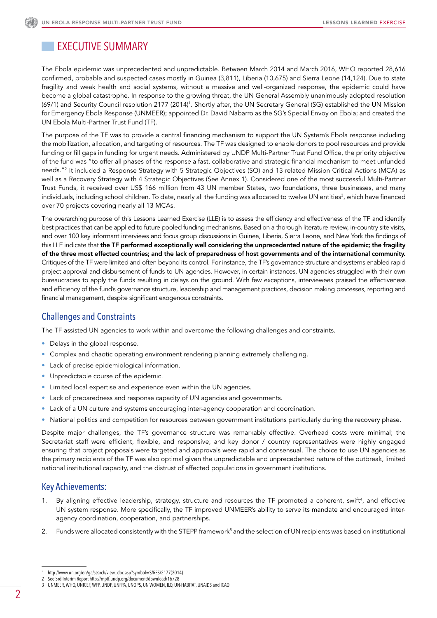The Ebola epidemic was unprecedented and unpredictable. Between March 2014 and March 2016, WHO reported 28,616 confirmed, probable and suspected cases mostly in Guinea (3,811), Liberia (10,675) and Sierra Leone (14,124). Due to state fragility and weak health and social systems, without a massive and well-organized response, the epidemic could have become a global catastrophe. In response to the growing threat, the UN General Assembly unanimously adopted resolution (69/1) and Security Council resolution 2177 (2014)'. Shortly after, the UN Secretary General (SG) established the UN Mission for Emergency Ebola Response (UNMEER); appointed Dr. David Nabarro as the SG's Special Envoy on Ebola; and created the UN Ebola Multi-Partner Trust Fund (TF).

The purpose of the TF was to provide a central financing mechanism to support the UN System's Ebola response including the mobilization, allocation, and targeting of resources. The TF was designed to enable donors to pool resources and provide funding or fill gaps in funding for urgent needs. Administered by UNDP Multi-Partner Trust Fund Office, the priority objective of the fund was "to offer all phases of the response a fast, collaborative and strategic financial mechanism to meet unfunded needs."2 It included a Response Strategy with 5 Strategic Objectives (SO) and 13 related Mission Critical Actions (MCA) as well as a Recovery Strategy with 4 Strategic Objectives (See Annex 1). Considered one of the most successful Multi-Partner Trust Funds, it received over US\$ 166 million from 43 UN member States, two foundations, three businesses, and many individuals, including school children. To date, nearly all the funding was allocated to twelve UN entities<sup>3</sup>, which have financed over 70 projects covering nearly all 13 MCAs.

The overarching purpose of this Lessons Learned Exercise (LLE) is to assess the efficiency and effectiveness of the TF and identify best practices that can be applied to future pooled funding mechanisms. Based on a thorough literature review, in-country site visits, and over 100 key informant interviews and focus group discussions in Guinea, Liberia, Sierra Leone, and New York the findings of this LLE indicate that the TF performed exceptionally well considering the unprecedented nature of the epidemic; the fragility of the three most effected countries; and the lack of preparedness of host governments and of the international community. Critiques of the TF were limited and often beyond its control. For instance, the TF's governance structure and systems enabled rapid project approval and disbursement of funds to UN agencies. However, in certain instances, UN agencies struggled with their own bureaucracies to apply the funds resulting in delays on the ground. With few exceptions, interviewees praised the effectiveness and efficiency of the fund's governance structure, leadership and management practices, decision making processes, reporting and financial management, despite significant exogenous constraints.

### Challenges and Constraints

The TF assisted UN agencies to work within and overcome the following challenges and constraints.

- Delays in the global response.
- Complex and chaotic operating environment rendering planning extremely challenging.
- Lack of precise epidemiological information.
- Unpredictable course of the epidemic.
- Limited local expertise and experience even within the UN agencies.
- Lack of preparedness and response capacity of UN agencies and governments.
- Lack of a UN culture and systems encouraging inter-agency cooperation and coordination.
- National politics and competition for resources between government institutions particularly during the recovery phase.

Despite major challenges, the TF's governance structure was remarkably effective. Overhead costs were minimal; the Secretariat staff were efficient, flexible, and responsive; and key donor / country representatives were highly engaged ensuring that project proposals were targeted and approvals were rapid and consensual. The choice to use UN agencies as the primary recipients of the TF was also optimal given the unpredictable and unprecedented nature of the outbreak, limited national institutional capacity, and the distrust of affected populations in government institutions.

#### Key Achievements:

- 1. By aligning effective leadership, strategy, structure and resources the TF promoted a coherent, swift<sup>4</sup>, and effective UN system response. More specifically, the TF improved UNMEER's ability to serve its mandate and encouraged interagency coordination, cooperation, and partnerships.
- 2. Funds were allocated consistently with the STEPP framework<sup>5</sup> and the selection of UN recipients was based on institutional

<sup>1</sup> http://www.un.org/en/ga/search/view\_doc.asp?symbol=S/RES/2177(2014)

<sup>2</sup> See 3rd Interim Report http://mptf.undp.org/document/download/16728

<sup>3</sup> UNMEER, WHO, UNICEF, WFP, UNDP, UNFPA, UNOPS, UN WOMEN, ILO, UN-HABITAT, UNAIDS and ICAO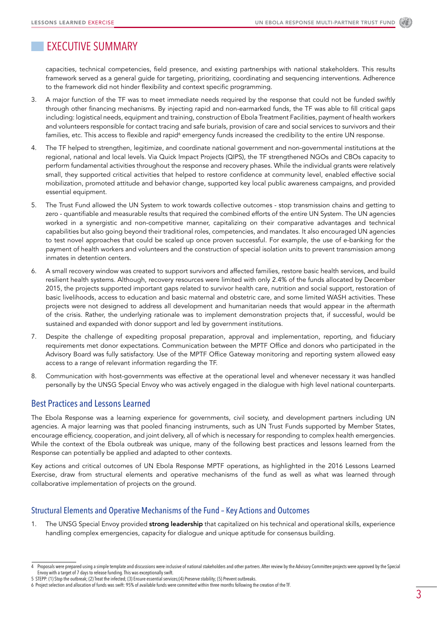capacities, technical competencies, field presence, and existing partnerships with national stakeholders. This results framework served as a general guide for targeting, prioritizing, coordinating and sequencing interventions. Adherence to the framework did not hinder flexibility and context specific programming.

- 3. A major function of the TF was to meet immediate needs required by the response that could not be funded swiftly through other financing mechanisms. By injecting rapid and non-earmarked funds, the TF was able to fill critical gaps including: logistical needs, equipment and training, construction of Ebola Treatment Facilities, payment of health workers and volunteers responsible for contact tracing and safe burials, provision of care and social services to survivors and their families, etc. This access to flexible and rapid<sup>6</sup> emergency funds increased the credibility to the entire UN response.
- 4. The TF helped to strengthen, legitimize, and coordinate national government and non-governmental institutions at the regional, national and local levels. Via Quick Impact Projects (QIPS), the TF strengthened NGOs and CBOs capacity to perform fundamental activities throughout the response and recovery phases. While the individual grants were relatively small, they supported critical activities that helped to restore confidence at community level, enabled effective social mobilization, promoted attitude and behavior change, supported key local public awareness campaigns, and provided essential equipment.
- 5. The Trust Fund allowed the UN System to work towards collective outcomes stop transmission chains and getting to zero - quantifiable and measurable results that required the combined efforts of the entire UN System. The UN agencies worked in a synergistic and non-competitive manner, capitalizing on their comparative advantages and technical capabilities but also going beyond their traditional roles, competencies, and mandates. It also encouraged UN agencies to test novel approaches that could be scaled up once proven successful. For example, the use of e-banking for the payment of health workers and volunteers and the construction of special isolation units to prevent transmission among inmates in detention centers.
- 6. A small recovery window was created to support survivors and affected families, restore basic health services, and build resilient health systems. Although, recovery resources were limited with only 2.4% of the funds allocated by December 2015, the projects supported important gaps related to survivor health care, nutrition and social support, restoration of basic livelihoods, access to education and basic maternal and obstetric care, and some limited WASH activities. These projects were not designed to address all development and humanitarian needs that would appear in the aftermath of the crisis. Rather, the underlying rationale was to implement demonstration projects that, if successful, would be sustained and expanded with donor support and led by government institutions.
- 7. Despite the challenge of expediting proposal preparation, approval and implementation, reporting, and fiduciary requirements met donor expectations. Communication between the MPTF Office and donors who participated in the Advisory Board was fully satisfactory. Use of the MPTF Office Gateway monitoring and reporting system allowed easy access to a range of relevant information regarding the TF.
- 8. Communication with host-governments was effective at the operational level and whenever necessary it was handled personally by the UNSG Special Envoy who was actively engaged in the dialogue with high level national counterparts.

### Best Practices and Lessons Learned

The Ebola Response was a learning experience for governments, civil society, and development partners including UN agencies. A major learning was that pooled financing instruments, such as UN Trust Funds supported by Member States, encourage efficiency, cooperation, and joint delivery, all of which is necessary for responding to complex health emergencies. While the context of the Ebola outbreak was unique, many of the following best practices and lessons learned from the Response can potentially be applied and adapted to other contexts.

Key actions and critical outcomes of UN Ebola Response MPTF operations, as highlighted in the 2016 Lessons Learned Exercise, draw from structural elements and operative mechanisms of the fund as well as what was learned through collaborative implementation of projects on the ground.

### Structural Elements and Operative Mechanisms of the Fund – Key Actions and Outcomes

1. The UNSG Special Envoy provided strong leadership that capitalized on his technical and operational skills, experience handling complex emergencies, capacity for dialogue and unique aptitude for consensus building.

<sup>4</sup> Proposals were prepared using a simple template and discussions were inclusive of national stakeholders and other partners. After review by the Advisory Committee projects were approved by the Special Envoy with a target of 7 days to release funding. This was exceptionally swift.

<sup>5</sup> STEPP: (1) Stop the outbreak; (2) Treat the infected; (3) Ensure essential services;(4) Preserve stability; (5) Prevent outbreaks.

<sup>6</sup> Project selection and allocation of funds was swift: 95% of available funds were committed within three months following the creation of the TF.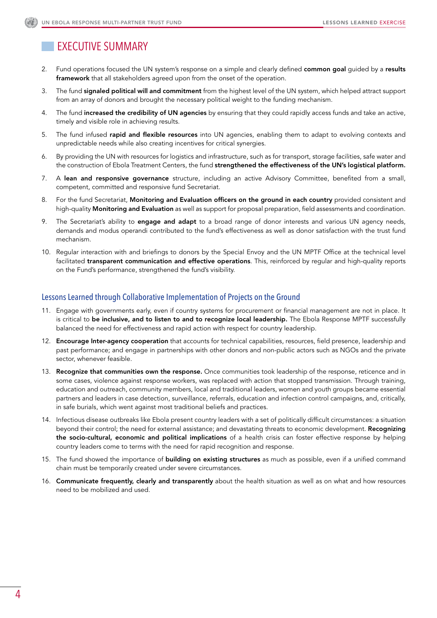- 2. Fund operations focused the UN system's response on a simple and clearly defined common goal guided by a results framework that all stakeholders agreed upon from the onset of the operation.
- 3. The fund signaled political will and commitment from the highest level of the UN system, which helped attract support from an array of donors and brought the necessary political weight to the funding mechanism.
- 4. The fund increased the credibility of UN agencies by ensuring that they could rapidly access funds and take an active, timely and visible role in achieving results.
- 5. The fund infused rapid and flexible resources into UN agencies, enabling them to adapt to evolving contexts and unpredictable needs while also creating incentives for critical synergies.
- 6. By providing the UN with resources for logistics and infrastructure, such as for transport, storage facilities, safe water and the construction of Ebola Treatment Centers, the fund strengthened the effectiveness of the UN's logistical platform.
- 7. A lean and responsive governance structure, including an active Advisory Committee, benefited from a small, competent, committed and responsive fund Secretariat.
- 8. For the fund Secretariat, Monitoring and Evaluation officers on the ground in each country provided consistent and high-quality Monitoring and Evaluation as well as support for proposal preparation, field assessments and coordination.
- 9. The Secretariat's ability to engage and adapt to a broad range of donor interests and various UN agency needs, demands and modus operandi contributed to the fund's effectiveness as well as donor satisfaction with the trust fund mechanism.
- 10. Regular interaction with and briefings to donors by the Special Envoy and the UN MPTF Office at the technical level facilitated transparent communication and effective operations. This, reinforced by regular and high-quality reports on the Fund's performance, strengthened the fund's visibility.

#### Lessons Learned through Collaborative Implementation of Projects on the Ground

- 11. Engage with governments early, even if country systems for procurement or financial management are not in place. It is critical to be inclusive, and to listen to and to recognize local leadership. The Ebola Response MPTF successfully balanced the need for effectiveness and rapid action with respect for country leadership.
- 12. Encourage Inter-agency cooperation that accounts for technical capabilities, resources, field presence, leadership and past performance; and engage in partnerships with other donors and non-public actors such as NGOs and the private sector, whenever feasible.
- 13. Recognize that communities own the response. Once communities took leadership of the response, reticence and in some cases, violence against response workers, was replaced with action that stopped transmission. Through training, education and outreach, community members, local and traditional leaders, women and youth groups became essential partners and leaders in case detection, surveillance, referrals, education and infection control campaigns, and, critically, in safe burials, which went against most traditional beliefs and practices.
- 14. Infectious disease outbreaks like Ebola present country leaders with a set of politically difficult circumstances: a situation beyond their control; the need for external assistance; and devastating threats to economic development. Recognizing the socio-cultural, economic and political implications of a health crisis can foster effective response by helping country leaders come to terms with the need for rapid recognition and response.
- 15. The fund showed the importance of **building on existing structures** as much as possible, even if a unified command chain must be temporarily created under severe circumstances.
- 16. Communicate frequently, clearly and transparently about the health situation as well as on what and how resources need to be mobilized and used.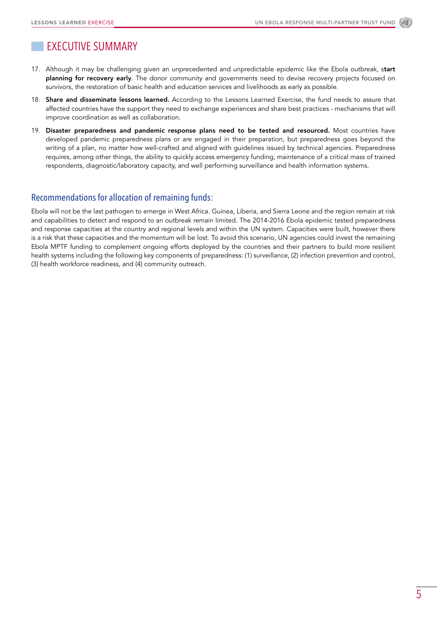- 17. Although it may be challenging given an unprecedented and unpredictable epidemic like the Ebola outbreak, start planning for recovery early. The donor community and governments need to devise recovery projects focused on survivors, the restoration of basic health and education services and livelihoods as early as possible.
- 18. Share and disseminate lessons learned. According to the Lessons Learned Exercise, the fund needs to assure that affected countries have the support they need to exchange experiences and share best practices - mechanisms that will improve coordination as well as collaboration.
- 19. Disaster preparedness and pandemic response plans need to be tested and resourced. Most countries have developed pandemic preparedness plans or are engaged in their preparation, but preparedness goes beyond the writing of a plan, no matter how well-crafted and aligned with guidelines issued by technical agencies. Preparedness requires, among other things, the ability to quickly access emergency funding, maintenance of a critical mass of trained respondents, diagnostic/laboratory capacity, and well performing surveillance and health information systems.

### Recommendations for allocation of remaining funds:

Ebola will not be the last pathogen to emerge in West Africa. Guinea, Liberia, and Sierra Leone and the region remain at risk and capabilities to detect and respond to an outbreak remain limited. The 2014-2016 Ebola epidemic tested preparedness and response capacities at the country and regional levels and within the UN system. Capacities were built, however there is a risk that these capacities and the momentum will be lost. To avoid this scenario, UN agencies could invest the remaining Ebola MPTF funding to complement ongoing efforts deployed by the countries and their partners to build more resilient health systems including the following key components of preparedness: (1) surveillance, (2) infection prevention and control, (3) health workforce readiness, and (4) community outreach.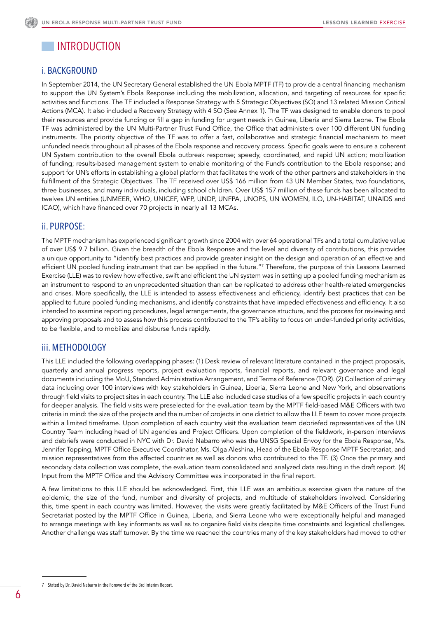#### i. BACKGROUND

In September 2014, the UN Secretary General established the UN Ebola MPTF (TF) to provide a central financing mechanism to support the UN System's Ebola Response including the mobilization, allocation, and targeting of resources for specific activities and functions. The TF included a Response Strategy with 5 Strategic Objectives (SO) and 13 related Mission Critical Actions (MCA). It also included a Recovery Strategy with 4 SO (See Annex 1). The TF was designed to enable donors to pool their resources and provide funding or fill a gap in funding for urgent needs in Guinea, Liberia and Sierra Leone. The Ebola TF was administered by the UN Multi-Partner Trust Fund Office, the Office that administers over 100 different UN funding instruments. The priority objective of the TF was to offer a fast, collaborative and strategic financial mechanism to meet unfunded needs throughout all phases of the Ebola response and recovery process. Specific goals were to ensure a coherent UN System contribution to the overall Ebola outbreak response; speedy, coordinated, and rapid UN action; mobilization of funding; results-based management system to enable monitoring of the Fund's contribution to the Ebola response; and support for UN's efforts in establishing a global platform that facilitates the work of the other partners and stakeholders in the fulfillment of the Strategic Objectives. The TF received over US\$ 166 million from 43 UN Member States, two foundations, three businesses, and many individuals, including school children. Over US\$ 157 million of these funds has been allocated to twelves UN entities (UNMEER, WHO, UNICEF, WFP, UNDP, UNFPA, UNOPS, UN WOMEN, ILO, UN-HABITAT, UNAIDS and ICAO), which have financed over 70 projects in nearly all 13 MCAs.

#### ii. PURPOSE:

The MPTF mechanism has experienced significant growth since 2004 with over 64 operational TFs and a total cumulative value of over US\$ 9.7 billion. Given the breadth of the Ebola Response and the level and diversity of contributions, this provides a unique opportunity to "identify best practices and provide greater insight on the design and operation of an effective and efficient UN pooled funding instrument that can be applied in the future."7 Therefore, the purpose of this Lessons Learned Exercise (LLE) was to review how effective, swift and efficient the UN system was in setting up a pooled funding mechanism as an instrument to respond to an unprecedented situation than can be replicated to address other health-related emergencies and crises. More specifically, the LLE is intended to assess effectiveness and efficiency, identify best practices that can be applied to future pooled funding mechanisms, and identify constraints that have impeded effectiveness and efficiency. It also intended to examine reporting procedures, legal arrangements, the governance structure, and the process for reviewing and approving proposals and to assess how this process contributed to the TF's ability to focus on under-funded priority activities, to be flexible, and to mobilize and disburse funds rapidly.

### iii. METHODOLOGY

This LLE included the following overlapping phases: (1) Desk review of relevant literature contained in the project proposals, quarterly and annual progress reports, project evaluation reports, financial reports, and relevant governance and legal documents including the MoU, Standard Administrative Arrangement, and Terms of Reference (TOR). (2) Collection of primary data including over 100 interviews with key stakeholders in Guinea, Liberia, Sierra Leone and New York, and observations through field visits to project sites in each country. The LLE also included case studies of a few specific projects in each country for deeper analysis. The field visits were preselected for the evaluation team by the MPTF field-based M&E Officers with two criteria in mind: the size of the projects and the number of projects in one district to allow the LLE team to cover more projects within a limited timeframe. Upon completion of each country visit the evaluation team debriefed representatives of the UN Country Team including head of UN agencies and Project Officers. Upon completion of the fieldwork, in-person interviews and debriefs were conducted in NYC with Dr. David Nabarro who was the UNSG Special Envoy for the Ebola Response, Ms. Jennifer Topping, MPTF Office Executive Coordinator, Ms. Olga Aleshina, Head of the Ebola Response MPTF Secretariat, and mission representatives from the affected countries as well as donors who contributed to the TF. (3) Once the primary and secondary data collection was complete, the evaluation team consolidated and analyzed data resulting in the draft report. (4) Input from the MPTF Office and the Advisory Committee was incorporated in the final report.

A few limitations to this LLE should be acknowledged. First, this LLE was an ambitious exercise given the nature of the epidemic, the size of the fund, number and diversity of projects, and multitude of stakeholders involved. Considering this, time spent in each country was limited. However, the visits were greatly facilitated by M&E Officers of the Trust Fund Secretariat posted by the MPTF Office in Guinea, Liberia, and Sierra Leone who were exceptionally helpful and managed to arrange meetings with key informants as well as to organize field visits despite time constraints and logistical challenges. Another challenge was staff turnover. By the time we reached the countries many of the key stakeholders had moved to other

<sup>7</sup> Stated by Dr. David Nabarro in the Foreword of the 3rd Interim Report.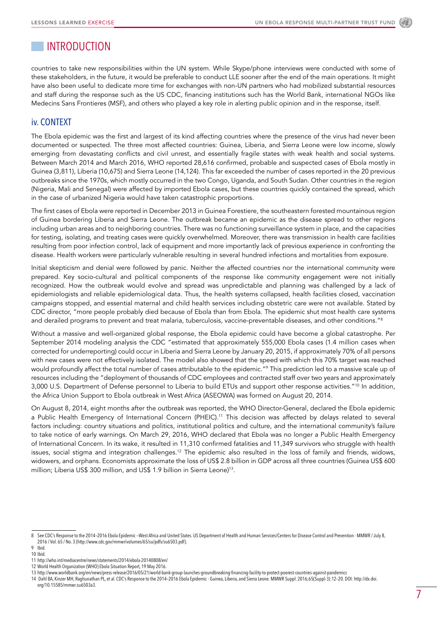countries to take new responsibilities within the UN system. While Skype/phone interviews were conducted with some of these stakeholders, in the future, it would be preferable to conduct LLE sooner after the end of the main operations. It might have also been useful to dedicate more time for exchanges with non-UN partners who had mobilized substantial resources and staff during the response such as the US CDC, financing institutions such has the World Bank, international NGOs like Medecins Sans Frontieres (MSF), and others who played a key role in alerting public opinion and in the response, itself.

### iv. CONTEXT

The Ebola epidemic was the first and largest of its kind affecting countries where the presence of the virus had never been documented or suspected. The three most affected countries: Guinea, Liberia, and Sierra Leone were low income, slowly emerging from devastating conflicts and civil unrest, and essentially fragile states with weak health and social systems. Between March 2014 and March 2016, WHO reported 28,616 confirmed, probable and suspected cases of Ebola mostly in Guinea (3,811), Liberia (10,675) and Sierra Leone (14,124). This far exceeded the number of cases reported in the 20 previous outbreaks since the 1970s, which mostly occurred in the two Congo, Uganda, and South Sudan. Other countries in the region (Nigeria, Mali and Senegal) were affected by imported Ebola cases, but these countries quickly contained the spread, which in the case of urbanized Nigeria would have taken catastrophic proportions.

The first cases of Ebola were reported in December 2013 in Guinea Forestiere, the southeastern forested mountainous region of Guinea bordering Liberia and Sierra Leone. The outbreak became an epidemic as the disease spread to other regions including urban areas and to neighboring countries. There was no functioning surveillance system in place, and the capacities for testing, isolating, and treating cases were quickly overwhelmed. Moreover, there was transmission in health care facilities resulting from poor infection control, lack of equipment and more importantly lack of previous experience in confronting the disease. Health workers were particularly vulnerable resulting in several hundred infections and mortalities from exposure.

Initial skepticism and denial were followed by panic. Neither the affected countries nor the international community were prepared. Key socio-cultural and political components of the response like community engagement were not initially recognized. How the outbreak would evolve and spread was unpredictable and planning was challenged by a lack of epidemiologists and reliable epidemiological data. Thus, the health systems collapsed, health facilities closed, vaccination campaigns stopped, and essential maternal and child health services including obstetric care were not available. Stated by CDC director, "more people probably died because of Ebola than from Ebola. The epidemic shut most health care systems and derailed programs to prevent and treat malaria, tuberculosis, vaccine-preventable diseases, and other conditions."8

Without a massive and well-organized global response, the Ebola epidemic could have become a global catastrophe. Per September 2014 modeling analysis the CDC "estimated that approximately 555,000 Ebola cases (1.4 million cases when corrected for underreporting) could occur in Liberia and Sierra Leone by January 20, 2015, if approximately 70% of all persons with new cases were not effectively isolated. The model also showed that the speed with which this 70% target was reached would profoundly affect the total number of cases attributable to the epidemic."9 This prediction led to a massive scale up of resources including the "deployment of thousands of CDC employees and contracted staff over two years and approximately 3,000 U.S. Department of Defense personnel to Liberia to build ETUs and support other response activities."10 In addition, the Africa Union Support to Ebola outbreak in West Africa (ASEOWA) was formed on August 20, 2014.

On August 8, 2014, eight months after the outbreak was reported, the WHO Director-General, declared the Ebola epidemic a Public Health Emergency of International Concern (PHEIC).11 This decision was affected by delays related to several factors including: country situations and politics, institutional politics and culture, and the international community's failure to take notice of early warnings. On March 29, 2016, WHO declared that Ebola was no longer a Public Health Emergency of International Concern. In its wake, it resulted in 11,310 confirmed fatalities and 11,349 survivors who struggle with health issues, social stigma and integration challenges.<sup>12</sup> The epidemic also resulted in the loss of family and friends, widows, widowers, and orphans. Economists approximate the loss of US\$ 2.8 billion in GDP across all three countries (Guinea US\$ 600 million; Liberia US\$ 300 million, and US\$ 1.9 billion in Sierra Leone)<sup>13</sup>.

<sup>8</sup> See CDC's Response to the 2014-2016 Ebola Epidemic -West Africa and United States. US Department of Health and Human Services/Centers for Disease Control and Prevention - MMWR / July 8, 2016 / Vol. 65 / No. 3 (http://www.cdc.gov/mmwr/volumes/65/su/pdfs/su6503.pdf).

<sup>9</sup> Ibid.

<sup>10</sup> Ibid.

<sup>11</sup> http://who.int/mediacentre/news/statements/2014/ebola-20140808/en/

<sup>12</sup> World Health Organization (WHO) Ebola Situation Report, 19 May 2016.

<sup>13</sup> http://www.worldbank.org/en/news/press-release/2016/05/21/world-bank-group-launches-groundbreaking-financing-facility-to-protect-poorest-countries-against-pandemics

<sup>14</sup> Dahl BA, Kinzer MH, Raghunathan PL, et al. CDC's Response to the 2014–2016 Ebola Epidemic - Guinea, Liberia, and Sierra Leone. MMWR Suppl. 2016;65(Suppl-3):12–20. DOI: http://dx.doi. org/10.15585/mmwr.su6503a3.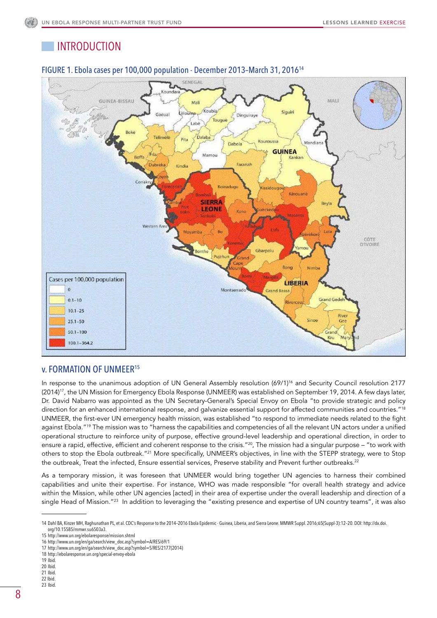

#### FIGURE 1. Ebola cases per 100,000 population - December 2013–March 31, 201614

#### v. FORMATION OF UNMEER15

In response to the unanimous adoption of UN General Assembly resolution (69/1)<sup>16</sup> and Security Council resolution 2177 (2014)<sup>17</sup>, the UN Mission for Emergency Ebola Response (UNMEER) was established on September 19, 2014. A few days later, Dr. David Nabarro was appointed as the UN Secretary-General's Special Envoy on Ebola "to provide strategic and policy direction for an enhanced international response, and galvanize essential support for affected communities and countries."<sup>18</sup> UNMEER, the first-ever UN emergency health mission, was established "to respond to immediate needs related to the fight against Ebola."19 The mission was to "harness the capabilities and competencies of all the relevant UN actors under a unified operational structure to reinforce unity of purpose, effective ground-level leadership and operational direction, in order to ensure a rapid, effective, efficient and coherent response to the crisis."<sup>20</sup>, The mission had a singular purpose – "to work with others to stop the Ebola outbreak."21 More specifically, UNMEER's objectives, in line with the STEPP strategy, were to Stop the outbreak, Treat the infected, Ensure essential services, Preserve stability and Prevent further outbreaks.<sup>22</sup>

As a temporary mission, it was foreseen that UNMEER would bring together UN agencies to harness their combined capabilities and unite their expertise. For instance, WHO was made responsible "for overall health strategy and advice within the Mission, while other UN agencies [acted] in their area of expertise under the overall leadership and direction of a single Head of Mission."23 In addition to leveraging the "existing presence and expertise of UN country teams", it was also

<sup>14</sup> Dahl BA, Kinzer MH, Raghunathan PL, et al. CDC's Response to the 2014–2016 Ebola Epidemic - Guinea, Liberia, and Sierra Leone. MMWR Suppl. 2016;65(Suppl-3):12–20. DOI: http://dx.doi. org/10.15585/mmwr.su6503a3.

<sup>15</sup> http://www.un.org/ebolaresponse/mission.shtml

<sup>16</sup> http://www.un.org/en/ga/search/view\_doc.asp?symbol=A/RES/69/1

<sup>17</sup> http://www.un.org/en/ga/search/view\_doc.asp?symbol=S/RES/2177(2014)

<sup>18</sup> http://ebolaresponse.un.org/special-envoy-ebola

<sup>19</sup> Ibid.

<sup>20</sup> Ibid.

<sup>21</sup> Ibid.

<sup>22</sup> Ibid.

<sup>23</sup> Ibid.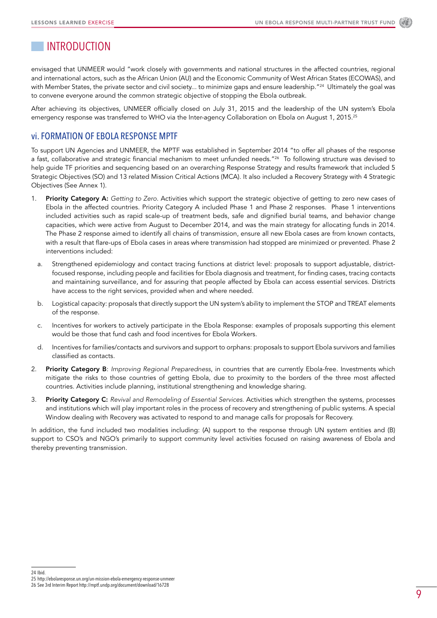envisaged that UNMEER would "work closely with governments and national structures in the affected countries, regional and international actors, such as the African Union (AU) and the Economic Community of West African States (ECOWAS), and with Member States, the private sector and civil society... to minimize gaps and ensure leadership."<sup>24</sup> Ultimately the goal was to convene everyone around the common strategic objective of stopping the Ebola outbreak.

After achieving its objectives, UNMEER officially closed on July 31, 2015 and the leadership of the UN system's Ebola emergency response was transferred to WHO via the Inter-agency Collaboration on Ebola on August 1, 2015.<sup>25</sup>

### vi. FORMATION OF EBOLA RESPONSE MPTF

To support UN Agencies and UNMEER, the MPTF was established in September 2014 "to offer all phases of the response a fast, collaborative and strategic financial mechanism to meet unfunded needs."<sup>26</sup> To following structure was devised to help guide TF priorities and sequencing based on an overarching Response Strategy and results framework that included 5 Strategic Objectives (SO) and 13 related Mission Critical Actions (MCA). It also included a Recovery Strategy with 4 Strategic Objectives (See Annex 1).

- 1. Priority Category A: *Getting to Zero*. Activities which support the strategic objective of getting to zero new cases of Ebola in the affected countries. Priority Category A included Phase 1 and Phase 2 responses. Phase 1 interventions included activities such as rapid scale-up of treatment beds, safe and dignified burial teams, and behavior change capacities, which were active from August to December 2014, and was the main strategy for allocating funds in 2014. The Phase 2 response aimed to identify all chains of transmission, ensure all new Ebola cases are from known contacts, with a result that flare-ups of Ebola cases in areas where transmission had stopped are minimized or prevented. Phase 2 interventions included:
	- a. Strengthened epidemiology and contact tracing functions at district level: proposals to support adjustable, districtfocused response, including people and facilities for Ebola diagnosis and treatment, for finding cases, tracing contacts and maintaining surveillance, and for assuring that people affected by Ebola can access essential services. Districts have access to the right services, provided when and where needed.
	- b. Logistical capacity: proposals that directly support the UN system's ability to implement the STOP and TREAT elements of the response.
	- c. Incentives for workers to actively participate in the Ebola Response: examples of proposals supporting this element would be those that fund cash and food incentives for Ebola Workers.
	- d. Incentives for families/contacts and survivors and support to orphans: proposals to support Ebola survivors and families classified as contacts.
- 2. Priority Category B: *Improving Regional Preparedness*, in countries that are currently Ebola-free. Investments which mitigate the risks to those countries of getting Ebola, due to proximity to the borders of the three most affected countries. Activities include planning, institutional strengthening and knowledge sharing.
- 3. Priority Category C: *Revival and Remodeling of Essential Services.* Activities which strengthen the systems, processes and institutions which will play important roles in the process of recovery and strengthening of public systems. A special Window dealing with Recovery was activated to respond to and manage calls for proposals for Recovery.

In addition, the fund included two modalities including: (A) support to the response through UN system entities and (B) support to CSO's and NGO's primarily to support community level activities focused on raising awareness of Ebola and thereby preventing transmission.

<sup>24</sup> Ibid.

<sup>25</sup> http://ebolaresponse.un.org/un-mission-ebola-emergency-response-unmeer

<sup>26</sup> See 3rd Interim Report http://mptf.undp.org/document/download/16728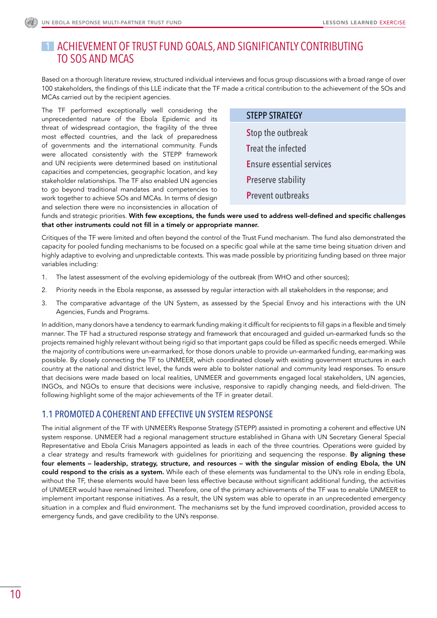Based on a thorough literature review, structured individual interviews and focus group discussions with a broad range of over 100 stakeholders, the findings of this LLE indicate that the TF made a critical contribution to the achievement of the SOs and MCAs carried out by the recipient agencies.

The TF performed exceptionally well considering the unprecedented nature of the Ebola Epidemic and its threat of widespread contagion, the fragility of the three most effected countries, and the lack of preparedness of governments and the international community. Funds were allocated consistently with the STEPP framework and UN recipients were determined based on institutional capacities and competencies, geographic location, and key stakeholder relationships. The TF also enabled UN agencies to go beyond traditional mandates and competencies to work together to achieve SOs and MCAs. In terms of design and selection there were no inconsistencies in allocation of

# stepp strategy Stop the outbreak Treat the infected Ensure essential services **Preserve stability** Prevent outbreaks

funds and strategic priorities. With few exceptions, the funds were used to address well-defined and specific challenges that other instruments could not fill in a timely or appropriate manner.

Critiques of the TF were limited and often beyond the control of the Trust Fund mechanism. The fund also demonstrated the capacity for pooled funding mechanisms to be focused on a specific goal while at the same time being situation driven and highly adaptive to evolving and unpredictable contexts. This was made possible by prioritizing funding based on three major variables including:

- 1. The latest assessment of the evolving epidemiology of the outbreak (from WHO and other sources);
- 2. Priority needs in the Ebola response, as assessed by regular interaction with all stakeholders in the response; and
- 3. The comparative advantage of the UN System, as assessed by the Special Envoy and his interactions with the UN Agencies, Funds and Programs.

In addition, many donors have a tendency to earmark funding making it difficult for recipients to fill gaps in a flexible and timely manner. The TF had a structured response strategy and framework that encouraged and guided un-earmarked funds so the projects remained highly relevant without being rigid so that important gaps could be filled as specific needs emerged. While the majority of contributions were un-earmarked, for those donors unable to provide un-earmarked funding, ear-marking was possible. By closely connecting the TF to UNMEER, which coordinated closely with existing government structures in each country at the national and district level, the funds were able to bolster national and community lead responses. To ensure that decisions were made based on local realities, UNMEER and governments engaged local stakeholders, UN agencies, INGOs, and NGOs to ensure that decisions were inclusive, responsive to rapidly changing needs, and field-driven. The following highlight some of the major achievements of the TF in greater detail.

### 1.1 PROMOTED A COHERENT AND EFFECTIVE UN SYSTEM RESPONSE

The initial alignment of the TF with UNMEER's Response Strategy (STEPP) assisted in promoting a coherent and effective UN system response. UNMEER had a regional management structure established in Ghana with UN Secretary General Special Representative and Ebola Crisis Managers appointed as leads in each of the three countries. Operations were guided by a clear strategy and results framework with guidelines for prioritizing and sequencing the response. By aligning these four elements – leadership, strategy, structure, and resources – with the singular mission of ending Ebola, the UN could respond to the crisis as a system. While each of these elements was fundamental to the UN's role in ending Ebola, without the TF, these elements would have been less effective because without significant additional funding, the activities of UNMEER would have remained limited. Therefore, one of the primary achievements of the TF was to enable UNMEER to implement important response initiatives. As a result, the UN system was able to operate in an unprecedented emergency situation in a complex and fluid environment. The mechanisms set by the fund improved coordination, provided access to emergency funds, and gave credibility to the UN's response.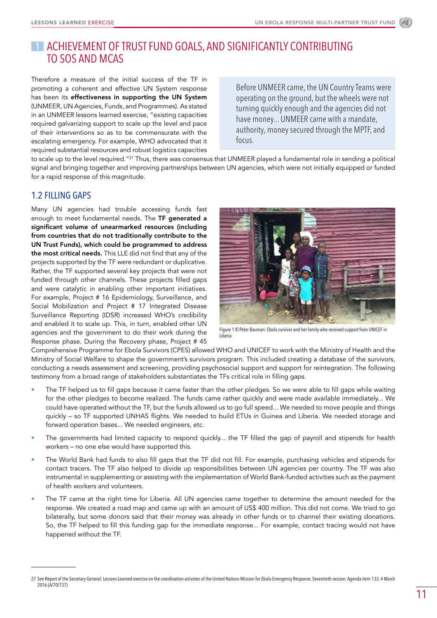Therefore a measure of the initial success of the TF in promoting a coherent and effective UN System response has been its effectiveness in supporting the UN System (UNMEER, UN Agencies, Funds, and Programmes). As stated in an UNMEER lessons learned exercise, "existing capacities required galvanizing support to scale up the level and pace of their interventions so as to be commensurate with the escalating emergency. For example, WHO advocated that it required substantial resources and robust logistics capacities

Before UNMEER came, the UN Country Teams were operating on the ground, but the wheels were not turning quickly enough and the agencies did not have money... UNMEER came with a mandate, authority, money secured through the MPTF, and focus.

to scale up to the level required."27 Thus, there was consensus that UNMEER played a fundamental role in sending a political signal and bringing together and improving partnerships between UN agencies, which were not initially equipped or funded for a rapid response of this magnitude.

### 1.2 FILLING GAPS

Many UN agencies had trouble accessing funds fast enough to meet fundamental needs. The TF generated a significant volume of unearmarked resources (including from countries that do not traditionally contribute to the UN Trust Funds), which could be programmed to address the most critical needs. This LLE did not find that any of the projects supported by the TF were redundant or duplicative. Rather, the TF supported several key projects that were not funded through other channels. These projects filled gaps and were catalytic in enabling other important initiatives. For example, Project # 16 Epidemiology, Surveillance, and Social Mobilization and Project # 17 Integrated Disease Surveillance Reporting (IDSR) increased WHO's credibility and enabled it to scale up. This, in turn, enabled other UN agencies and the government to do their work during the Response phase. During the Recovery phase, Project # 45



Figure 1 © Peter Bauman: Ebola survivor and her family who received support from UNICEF in Liberia

Comprehensive Programme for Ebola Survivors (CPES) allowed WHO and UNICEF to work with the Ministry of Health and the Ministry of Social Welfare to shape the government's survivors program. This included creating a database of the survivors, conducting a needs assessment and screening, providing psychosocial support and support for reintegration. The following testimony from a broad range of stakeholders substantiates the TFs critical role in filling gaps.

- The TF helped us to fill gaps because it came faster than the other pledges. So we were able to fill gaps while waiting for the other pledges to become realized. The funds came rather quickly and were made available immediately... We could have operated without the TF, but the funds allowed us to go full speed... We needed to move people and things quickly – so TF supported UNHAS flights. We needed to build ETUs in Guinea and Liberia. We needed storage and forward operation bases... We needed engineers, etc.
- The governments had limited capacity to respond quickly... the TF filled the gap of payroll and stipends for health workers – no one else would have supported this.
- The World Bank had funds to also fill gaps that the TF did not fill. For example, purchasing vehicles and stipends for contact tracers. The TF also helped to divide up responsibilities between UN agencies per country. The TF was also instrumental in supplementing or assisting with the implementation of World Bank-funded activities such as the payment of health workers and volunteers.
- The TF came at the right time for Liberia. All UN agencies came together to determine the amount needed for the response. We created a road map and came up with an amount of US\$ 400 million. This did not come. We tried to go bilaterally, but some donors said that their money was already in other funds or to channel their existing donations. So, the TF helped to fill this funding gap for the immediate response... For example, contact tracing would not have happened without the TF.

<sup>27</sup> See Report of the Secretary-General: Lessons Learned exercise on the coordination activities of the United Nations Mission for Ebola Emergency Response. Seventieth session. Agenda item 133. 4 March 2016 (A/70/737)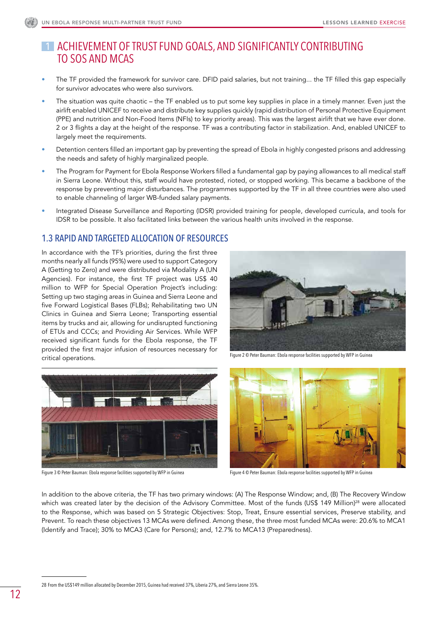- The TF provided the framework for survivor care. DFID paid salaries, but not training... the TF filled this gap especially for survivor advocates who were also survivors.
- The situation was quite chaotic the TF enabled us to put some key supplies in place in a timely manner. Even just the airlift enabled UNICEF to receive and distribute key supplies quickly (rapid distribution of Personal Protective Equipment (PPE) and nutrition and Non-Food Items (NFIs) to key priority areas). This was the largest airlift that we have ever done. 2 or 3 flights a day at the height of the response. TF was a contributing factor in stabilization. And, enabled UNICEF to largely meet the requirements.
- Detention centers filled an important gap by preventing the spread of Ebola in highly congested prisons and addressing the needs and safety of highly marginalized people.
- The Program for Payment for Ebola Response Workers filled a fundamental gap by paying allowances to all medical staff in Sierra Leone. Without this, staff would have protested, rioted, or stopped working. This became a backbone of the response by preventing major disturbances. The programmes supported by the TF in all three countries were also used to enable channeling of larger WB-funded salary payments.
- Integrated Disease Surveillance and Reporting (IDSR) provided training for people, developed curricula, and tools for IDSR to be possible. It also facilitated links between the various health units involved in the response.

### 1.3 RAPID AND TARGETED ALLOCATION OF RESOURCES

In accordance with the TF's priorities, during the first three months nearly all funds (95%) were used to support Category A (Getting to Zero) and were distributed via Modality A (UN Agencies). For instance, the first TF project was US\$ 40 million to WFP for Special Operation Project's including: Setting up two staging areas in Guinea and Sierra Leone and five Forward Logistical Bases (FLBs); Rehabilitating two UN Clinics in Guinea and Sierra Leone; Transporting essential items by trucks and air, allowing for undisrupted functioning of ETUs and CCCs; and Providing Air Services. While WFP received significant funds for the Ebola response, the TF provided the first major infusion of resources necessary for critical operations.



Figure 3 © Peter Bauman: Ebola response facilities supported by WFP in Guinea Figure 4 © Peter Bauman: Ebola response facilities supported by WFP in Guinea



Figure 2 © Peter Bauman: Ebola response facilities supported by WFP in Guinea



In addition to the above criteria, the TF has two primary windows: (A) The Response Window; and, (B) The Recovery Window which was created later by the decision of the Advisory Committee. Most of the funds (US\$ 149 Million)<sup>28</sup> were allocated to the Response, which was based on 5 Strategic Objectives: Stop, Treat, Ensure essential services, Preserve stability, and Prevent. To reach these objectives 13 MCAs were defined. Among these, the three most funded MCAs were: 20.6% to MCA1 (Identify and Trace); 30% to MCA3 (Care for Persons); and, 12.7% to MCA13 (Preparedness).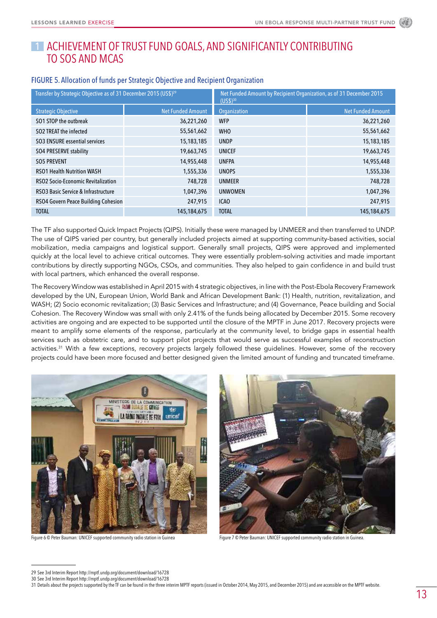| Transfer by Strategic Objective as of 31 December 2015 (US\$) <sup>29</sup> |                          | Net Funded Amount by Recipient Organization, as of 31 December 2015<br>$(US$)^{30}$ |                          |
|-----------------------------------------------------------------------------|--------------------------|-------------------------------------------------------------------------------------|--------------------------|
| <b>Strategic Objective</b>                                                  | <b>Net Funded Amount</b> | Organization                                                                        | <b>Net Funded Amount</b> |
| SO1 STOP the outbreak                                                       | 36,221,260               | <b>WFP</b>                                                                          | 36,221,260               |
| SO2 TREAT the infected                                                      | 55,561,662               | <b>WHO</b>                                                                          | 55,561,662               |
| SO3 ENSURE essential services                                               | 15,183,185               | <b>UNDP</b>                                                                         | 15,183,185               |
| <b>SO4 PRESERVE stability</b>                                               | 19,663,745               | <b>UNICEF</b>                                                                       | 19,663,745               |
| <b>SO5 PREVENT</b>                                                          | 14,955,448               | <b>UNFPA</b>                                                                        | 14,955,448               |
| <b>RSO1 Health Nutrition WASH</b>                                           | 1,555,336                | <b>UNOPS</b>                                                                        | 1,555,336                |
| RSO2 Socio-Economic Revitalization                                          | 748,728                  | <b>UNMEER</b>                                                                       | 748,728                  |
| RSO3 Basic Service & Infrastructure                                         | 1,047,396                | <b>UNWOMEN</b>                                                                      | 1,047,396                |
| RSO4 Govern Peace Building Cohesion                                         | 247,915                  | ICAO                                                                                | 247,915                  |
| <b>TOTAL</b>                                                                | 145,184,675              | <b>TOTAL</b>                                                                        | 145,184,675              |

#### FIGURE 5. Allocation of funds per Strategic Objective and Recipient Organization

The TF also supported Quick Impact Projects (QIPS). Initially these were managed by UNMEER and then transferred to UNDP. The use of QIPS varied per country, but generally included projects aimed at supporting community-based activities, social mobilization, media campaigns and logistical support. Generally small projects, QIPS were approved and implemented quickly at the local level to achieve critical outcomes. They were essentially problem-solving activities and made important contributions by directly supporting NGOs, CSOs, and communities. They also helped to gain confidence in and build trust with local partners, which enhanced the overall response.

The Recovery Window was established in April 2015 with 4 strategic objectives, in line with the Post-Ebola Recovery Framework developed by the UN, European Union, World Bank and African Development Bank: (1) Health, nutrition, revitalization, and WASH; (2) Socio economic revitalization; (3) Basic Services and Infrastructure; and (4) Governance, Peace building and Social Cohesion. The Recovery Window was small with only 2.41% of the funds being allocated by December 2015. Some recovery activities are ongoing and are expected to be supported until the closure of the MPTF in June 2017. Recovery projects were meant to amplify some elements of the response, particularly at the community level, to bridge gaps in essential health services such as obstetric care, and to support pilot projects that would serve as successful examples of reconstruction activities.<sup>31</sup> With a few exceptions, recovery projects largely followed these guidelines. However, some of the recovery projects could have been more focused and better designed given the limited amount of funding and truncated timeframe.



Figure 6 © Peter Bauman: UNICEF supported community radio station in Guinea Figure 7 © Peter Bauman: UNICEF supported community radio station in Guinea



<sup>29</sup> See 3rd Interim Report http://mptf.undp.org/document/download/16728 30 See 3rd Interim Report http://mptf.undp.org/document/download/16728

<sup>31</sup> Details about the projects supported by the TF can be found in the three interim MPTF reports (issued in October 2014, May 2015, and December 2015) and are accessible on the MPTF website.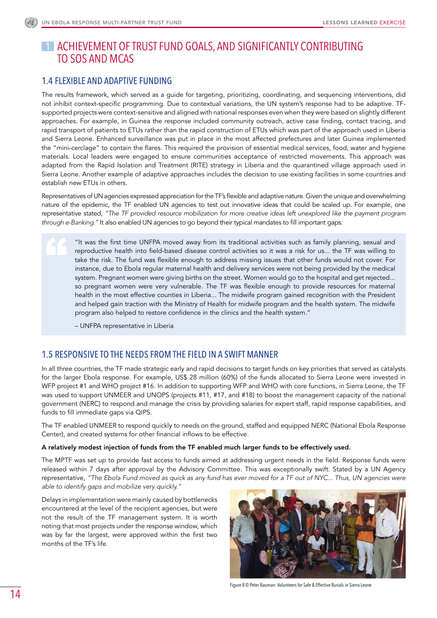### 1.4 FLEXIBLE AND ADAPTIVE FUNDING

The results framework, which served as a guide for targeting, prioritizing, coordinating, and sequencing interventions, did not inhibit context-specific programming. Due to contextual variations, the UN system's response had to be adaptive. TFsupported projects were context-sensitive and aligned with national responses even when they were based on slightly different approaches. For example, in Guinea the response included community outreach, active case finding, contact tracing, and rapid transport of patients to ETUs rather than the rapid construction of ETUs which was part of the approach used in Liberia and Sierra Leone. Enhanced surveillance was put in place in the most affected prefectures and later Guinea implemented the "mini-cerclage" to contain the flares. This required the provision of essential medical services, food, water and hygiene materials. Local leaders were engaged to ensure communities acceptance of restricted movements. This approach was adapted from the Rapid Isolation and Treatment (RITE) strategy in Liberia and the quarantined village approach used in Sierra Leone. Another example of adaptive approaches includes the decision to use existing facilities in some countries and establish new ETUs in others.

Representatives of UN agencies expressed appreciation for the TF's flexible and adaptive nature. Given the unique and overwhelming nature of the epidemic, the TF enabled UN agencies to test out innovative ideas that could be scaled up. For example, one representative stated, *"The TF provided resource mobilization for more creative ideas left unexplored like the payment program through e-Banking."* It also enabled UN agencies to go beyond their typical mandates to fill important gaps.

"It was the first time UNFPA moved away from its traditional activities such as family planning, sexual and reproductive health into field-based disease control activities so it was a risk for us... the TF was willing to take the risk. The fund was flexible enough to address missing issues that other funds would not cover. For instance, due to Ebola regular maternal health and delivery services were not being provided by the medical system. Pregnant women were giving births on the street. Women would go to the hospital and get rejected... so pregnant women were very vulnerable. The TF was flexible enough to provide resources for maternal health in the most effective counties in Liberia... The midwife program gained recognition with the President and helped gain traction with the Ministry of Health for midwife program and the health system. The midwife program also helped to restore confidence in the clinics and the health system."

– UNFPA representative in Liberia

### 1.5 RESPONSIVE TO THE NEEDS FROM THE FIELD IN A SWIFT MANNER

In all three countries, the TF made strategic early and rapid decisions to target funds on key priorities that served as catalysts for the larger Ebola response. For example, US\$ 28 million (60%) of the funds allocated to Sierra Leone were invested in WFP project #1 and WHO project #16. In addition to supporting WFP and WHO with core functions, in Sierra Leone, the TF was used to support UNMEER and UNOPS (projects #11, #17, and #18) to boost the management capacity of the national government (NERC) to respond and manage the crisis by providing salaries for expert staff, rapid response capabilities, and funds to fill immediate gaps via QIPS.

The TF enabled UNMEER to respond quickly to needs on the ground, staffed and equipped NERC (National Ebola Response Center), and created systems for other financial inflows to be effective.

#### A relatively modest injection of funds from the TF enabled much larger funds to be effectively used.

The MPTF was set up to provide fast access to funds aimed at addressing urgent needs in the field. Response funds were released within 7 days after approval by the Advisory Committee. This was exceptionally swift. Stated by a UN Agency representative, *"The Ebola Fund moved as quick as any fund has ever moved for a TF out of NYC... Thus, UN agencies were able to identify gaps and mobilize very quickly."* 

Delays in implementation were mainly caused by bottlenecks encountered at the level of the recipient agencies, but were not the result of the TF management system. It is worth noting that most projects under the response window, which was by far the largest, were approved within the first two months of the TF's life.



Figure 8 © Peter Bauman: Volunteers for Safe & Effective Burials in Sierra Leone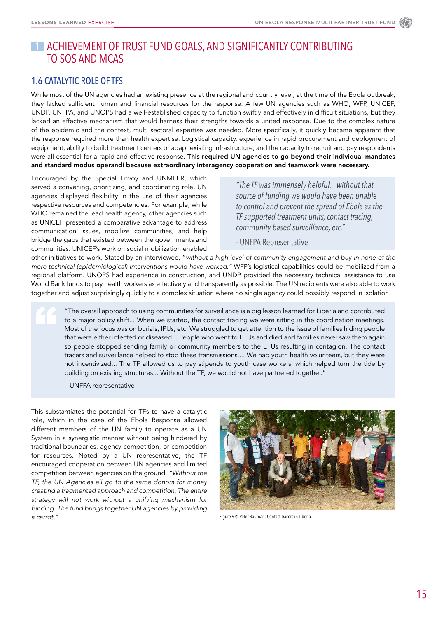### 1.6 CATALYTIC ROLE OF TFS

While most of the UN agencies had an existing presence at the regional and country level, at the time of the Ebola outbreak, they lacked sufficient human and financial resources for the response. A few UN agencies such as WHO, WFP, UNICEF, UNDP, UNFPA, and UNOPS had a well-established capacity to function swiftly and effectively in difficult situations, but they lacked an effective mechanism that would harness their strengths towards a united response. Due to the complex nature of the epidemic and the context, multi sectoral expertise was needed. More specifically, it quickly became apparent that the response required more than health expertise. Logistical capacity, experience in rapid procurement and deployment of equipment, ability to build treatment centers or adapt existing infrastructure, and the capacity to recruit and pay respondents were all essential for a rapid and effective response. This required UN agencies to go beyond their individual mandates and standard modus operandi because extraordinary interagency cooperation and teamwork were necessary.

Encouraged by the Special Envoy and UNMEER, which served a convening, prioritizing, and coordinating role, UN agencies displayed flexibility in the use of their agencies respective resources and competencies. For example, while WHO remained the lead health agency, other agencies such as UNICEF presented a comparative advantage to address communication issues, mobilize communities, and help bridge the gaps that existed between the governments and communities. UNICEF's work on social mobilization enabled

*"The TF was immensely helpful... without that source of funding we would have been unable to control and prevent the spread of Ebola as the TF supported treatment units, contact tracing, community based surveillance, etc."*

*-* UNFPA Representative

other initiatives to work. Stated by an interviewee, "*without a high level of community engagement and buy-in none of the more technical (epidemiological) interventions would have worked."* WFP's logistical capabilities could be mobilized from a regional platform. UNOPS had experience in construction, and UNDP provided the necessary technical assistance to use World Bank funds to pay health workers as effectively and transparently as possible. The UN recipients were also able to work together and adjust surprisingly quickly to a complex situation where no single agency could possibly respond in isolation.

"The overall approach to using communities for surveillance is a big lesson learned for Liberia and contributed to a major policy shift... When we started, the contact tracing we were sitting in the coordination meetings. Most of the focus was on burials, IPUs, etc. We struggled to get attention to the issue of families hiding people that were either infected or diseased... People who went to ETUs and died and families never saw them again so people stopped sending family or community members to the ETUs resulting in contagion. The contact tracers and surveillance helped to stop these transmissions.... We had youth health volunteers, but they were not incentivized... The TF allowed us to pay stipends to youth case workers, which helped turn the tide by building on existing structures... Without the TF, we would not have partnered together."

– UNFPA representative

This substantiates the potential for TFs to have a catalytic role, which in the case of the Ebola Response allowed different members of the UN family to operate as a UN System in a synergistic manner without being hindered by traditional boundaries, agency competition, or competition for resources. Noted by a UN representative, the TF encouraged cooperation between UN agencies and limited competition between agencies on the ground. *"Without the TF, the UN Agencies all go to the same donors for money creating a fragmented approach and competition. The entire strategy will not work without a unifying mechanism for funding. The fund brings together UN agencies by providing a carrot."*



Figure 9 © Peter Bauman: Contact Tracers in Liberia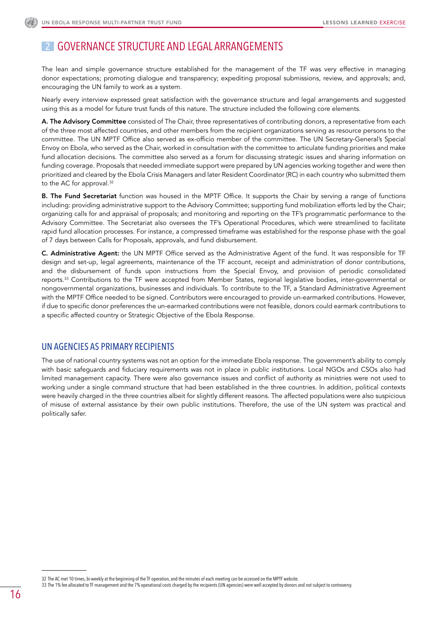### 2 GOVERNANCE STRUCTURE AND LEGAL ARRANGEMENTS

The lean and simple governance structure established for the management of the TF was very effective in managing donor expectations; promoting dialogue and transparency; expediting proposal submissions, review, and approvals; and, encouraging the UN family to work as a system.

Nearly every interview expressed great satisfaction with the governance structure and legal arrangements and suggested using this as a model for future trust funds of this nature. The structure included the following core elements.

A. The Advisory Committee consisted of The Chair, three representatives of contributing donors, a representative from each of the three most affected countries, and other members from the recipient organizations serving as resource persons to the committee. The UN MPTF Office also served as ex-officio member of the committee. The UN Secretary-General's Special Envoy on Ebola, who served as the Chair, worked in consultation with the committee to articulate funding priorities and make fund allocation decisions. The committee also served as a forum for discussing strategic issues and sharing information on funding coverage. Proposals that needed immediate support were prepared by UN agencies working together and were then prioritized and cleared by the Ebola Crisis Managers and later Resident Coordinator (RC) in each country who submitted them to the AC for approval.<sup>32</sup>

B. The Fund Secretariat function was housed in the MPTF Office. It supports the Chair by serving a range of functions including: providing administrative support to the Advisory Committee; supporting fund mobilization efforts led by the Chair; organizing calls for and appraisal of proposals; and monitoring and reporting on the TF's programmatic performance to the Advisory Committee. The Secretariat also oversees the TF's Operational Procedures, which were streamlined to facilitate rapid fund allocation processes. For instance, a compressed timeframe was established for the response phase with the goal of 7 days between Calls for Proposals, approvals, and fund disbursement.

C. Administrative Agent: the UN MPTF Office served as the Administrative Agent of the fund. It was responsible for TF design and set-up, legal agreements, maintenance of the TF account, receipt and administration of donor contributions, and the disbursement of funds upon instructions from the Special Envoy, and provision of periodic consolidated reports.33 Contributions to the TF were accepted from Member States, regional legislative bodies, inter-governmental or nongovernmental organizations, businesses and individuals. To contribute to the TF, a Standard Administrative Agreement with the MPTF Office needed to be signed. Contributors were encouraged to provide un-earmarked contributions. However, if due to specific donor preferences the un-earmarked contributions were not feasible, donors could earmark contributions to a specific affected country or Strategic Objective of the Ebola Response.

### UN AGENCIES AS PRIMARY RECIPIENTS

The use of national country systems was not an option for the immediate Ebola response. The government's ability to comply with basic safeguards and fiduciary requirements was not in place in public institutions. Local NGOs and CSOs also had limited management capacity. There were also governance issues and conflict of authority as ministries were not used to working under a single command structure that had been established in the three countries. In addition, political contexts were heavily charged in the three countries albeit for slightly different reasons. The affected populations were also suspicious of misuse of external assistance by their own public institutions. Therefore, the use of the UN system was practical and politically safer.

<sup>32</sup> The AC met 10 times, bi-weekly at the beginning of the TF operation, and the minutes of each meeting can be accessed on the MPTF website.

<sup>33</sup> The 1% fee allocated to TF management and the 7% operational costs charged by the recipients (UN agencies) were well accepted by donors and not subject to controversy.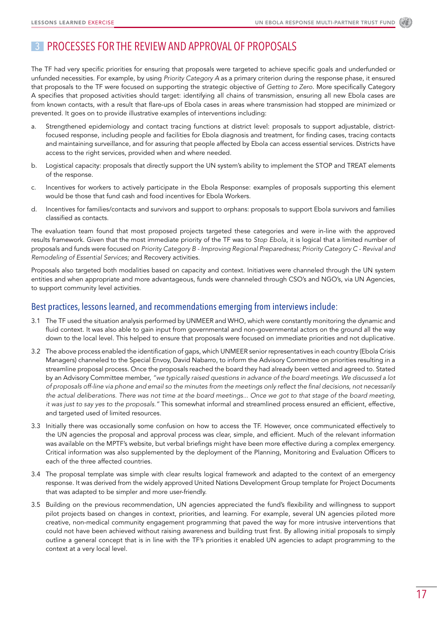### 3 PROCESSES FOR THE REVIEW AND APPROVAL OF PROPOSALS

The TF had very specific priorities for ensuring that proposals were targeted to achieve specific goals and underfunded or unfunded necessities. For example, by using *Priority Category A* as a primary criterion during the response phase, it ensured that proposals to the TF were focused on supporting the strategic objective of *Getting to Zero*. More specifically Category A specifies that proposed activities should target: identifying all chains of transmission, ensuring all new Ebola cases are from known contacts, with a result that flare-ups of Ebola cases in areas where transmission had stopped are minimized or prevented. It goes on to provide illustrative examples of interventions including:

- a. Strengthened epidemiology and contact tracing functions at district level: proposals to support adjustable, districtfocused response, including people and facilities for Ebola diagnosis and treatment, for finding cases, tracing contacts and maintaining surveillance, and for assuring that people affected by Ebola can access essential services. Districts have access to the right services, provided when and where needed.
- b. Logistical capacity: proposals that directly support the UN system's ability to implement the STOP and TREAT elements of the response.
- c. Incentives for workers to actively participate in the Ebola Response: examples of proposals supporting this element would be those that fund cash and food incentives for Ebola Workers.
- d. Incentives for families/contacts and survivors and support to orphans: proposals to support Ebola survivors and families classified as contacts.

The evaluation team found that most proposed projects targeted these categories and were in-line with the approved results framework. Given that the most immediate priority of the TF was to *Stop Ebola*, it is logical that a limited number of proposals and funds were focused on *Priority Category B - Improving Regional Preparedness; Priority Category C - Revival and Remodeling of Essential Services;* and Recovery activities.

Proposals also targeted both modalities based on capacity and context. Initiatives were channeled through the UN system entities and when appropriate and more advantageous, funds were channeled through CSO's and NGO's, via UN Agencies, to support community level activities.

#### Best practices, lessons learned, and recommendations emerging from interviews include:

- 3.1 The TF used the situation analysis performed by UNMEER and WHO, which were constantly monitoring the dynamic and fluid context. It was also able to gain input from governmental and non-governmental actors on the ground all the way down to the local level. This helped to ensure that proposals were focused on immediate priorities and not duplicative.
- 3.2 The above process enabled the identification of gaps, which UNMEER senior representatives in each country (Ebola Crisis Managers) channeled to the Special Envoy, David Nabarro, to inform the Advisory Committee on priorities resulting in a streamline proposal process. Once the proposals reached the board they had already been vetted and agreed to. Stated by an Advisory Committee member, *"we typically raised questions in advance of the board meetings. We discussed a lot of proposals off-line via phone and email so the minutes from the meetings only reflect the final decisions, not necessarily the actual deliberations. There was not time at the board meetings... Once we got to that stage of the board meeting, it was just to say yes to the proposals."* This somewhat informal and streamlined process ensured an efficient, effective, and targeted used of limited resources.
- 3.3 Initially there was occasionally some confusion on how to access the TF. However, once communicated effectively to the UN agencies the proposal and approval process was clear, simple, and efficient. Much of the relevant information was available on the MPTF's website, but verbal briefings might have been more effective during a complex emergency. Critical information was also supplemented by the deployment of the Planning, Monitoring and Evaluation Officers to each of the three affected countries.
- 3.4 The proposal template was simple with clear results logical framework and adapted to the context of an emergency response. It was derived from the widely approved United Nations Development Group template for Project Documents that was adapted to be simpler and more user-friendly.
- 3.5 Building on the previous recommendation, UN agencies appreciated the fund's flexibility and willingness to support pilot projects based on changes in context, priorities, and learning. For example, several UN agencies piloted more creative, non-medical community engagement programming that paved the way for more intrusive interventions that could not have been achieved without raising awareness and building trust first. By allowing initial proposals to simply outline a general concept that is in line with the TF's priorities it enabled UN agencies to adapt programming to the context at a very local level.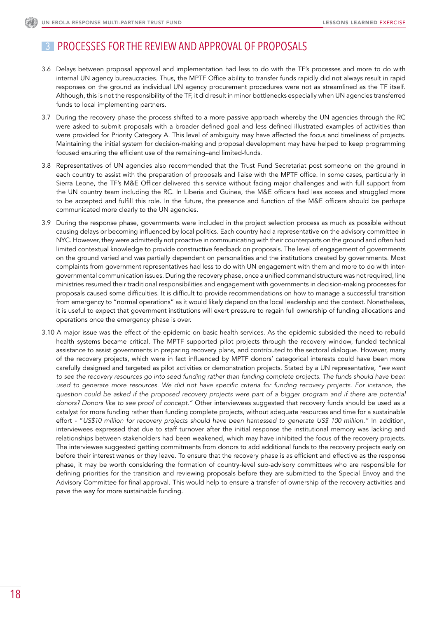### 3 PROCESSES FOR THE REVIEW AND APPROVAL OF PROPOSALS

- 3.6 Delays between proposal approval and implementation had less to do with the TF's processes and more to do with internal UN agency bureaucracies. Thus, the MPTF Office ability to transfer funds rapidly did not always result in rapid responses on the ground as individual UN agency procurement procedures were not as streamlined as the TF itself. Although, this is not the responsibility of the TF, it did result in minor bottlenecks especially when UN agencies transferred funds to local implementing partners.
- 3.7 During the recovery phase the process shifted to a more passive approach whereby the UN agencies through the RC were asked to submit proposals with a broader defined goal and less defined illustrated examples of activities than were provided for Priority Category A. This level of ambiguity may have affected the focus and timeliness of projects. Maintaining the initial system for decision-making and proposal development may have helped to keep programming focused ensuring the efficient use of the remaining–and limited-funds.
- 3.8 Representatives of UN agencies also recommended that the Trust Fund Secretariat post someone on the ground in each country to assist with the preparation of proposals and liaise with the MPTF office. In some cases, particularly in Sierra Leone, the TF's M&E Officer delivered this service without facing major challenges and with full support from the UN country team including the RC. In Liberia and Guinea, the M&E officers had less access and struggled more to be accepted and fulfill this role. In the future, the presence and function of the M&E officers should be perhaps communicated more clearly to the UN agencies.
- 3.9 During the response phase, governments were included in the project selection process as much as possible without causing delays or becoming influenced by local politics. Each country had a representative on the advisory committee in NYC. However, they were admittedly not proactive in communicating with their counterparts on the ground and often had limited contextual knowledge to provide constructive feedback on proposals. The level of engagement of governments on the ground varied and was partially dependent on personalities and the institutions created by governments. Most complaints from government representatives had less to do with UN engagement with them and more to do with intergovernmental communication issues. During the recovery phase, once a unified command structure was not required, line ministries resumed their traditional responsibilities and engagement with governments in decision-making processes for proposals caused some difficulties. It is difficult to provide recommendations on how to manage a successful transition from emergency to "normal operations" as it would likely depend on the local leadership and the context. Nonetheless, it is useful to expect that government institutions will exert pressure to regain full ownership of funding allocations and operations once the emergency phase is over.
- 3.10 A major issue was the effect of the epidemic on basic health services. As the epidemic subsided the need to rebuild health systems became critical. The MPTF supported pilot projects through the recovery window, funded technical assistance to assist governments in preparing recovery plans, and contributed to the sectoral dialogue. However, many of the recovery projects, which were in fact influenced by MPTF donors' categorical interests could have been more carefully designed and targeted as pilot activities or demonstration projects. Stated by a UN representative, *"we want*  to see the recovery resources go into seed funding rather than funding complete projects. The funds should have been used to generate more resources. We did not have specific criteria for funding recovery projects. For instance, the *question could be asked if the proposed recovery projects were part of a bigger program and if there are potential donors? Donors like to see proof of concept."* Other interviewees suggested that recovery funds should be used as a catalyst for more funding rather than funding complete projects, without adequate resources and time for a sustainable effort - "*US\$10 million for recovery projects should have been harnessed to generate US\$ 100 million."* In addition, interviewees expressed that due to staff turnover after the initial response the institutional memory was lacking and relationships between stakeholders had been weakened, which may have inhibited the focus of the recovery projects. The interviewee suggested getting commitments from donors to add additional funds to the recovery projects early on before their interest wanes or they leave. To ensure that the recovery phase is as efficient and effective as the response phase, it may be worth considering the formation of country-level sub-advisory committees who are responsible for defining priorities for the transition and reviewing proposals before they are submitted to the Special Envoy and the Advisory Committee for final approval. This would help to ensure a transfer of ownership of the recovery activities and pave the way for more sustainable funding.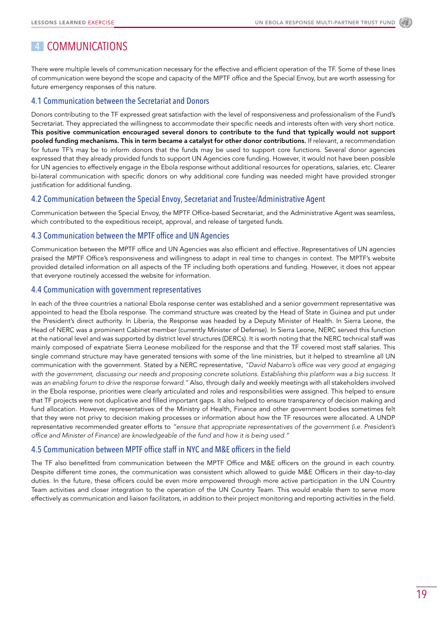### 4 COMMUNICATIONS

There were multiple levels of communication necessary for the effective and efficient operation of the TF. Some of these lines of communication were beyond the scope and capacity of the MPTF office and the Special Envoy, but are worth assessing for future emergency responses of this nature.

#### 4.1 Communication between the Secretariat and Donors

Donors contributing to the TF expressed great satisfaction with the level of responsiveness and professionalism of the Fund's Secretariat. They appreciated the willingness to accommodate their specific needs and interests often with very short notice. This positive communication encouraged several donors to contribute to the fund that typically would not support pooled funding mechanisms. This in term became a catalyst for other donor contributions. If relevant, a recommendation for future TF's may be to inform donors that the funds may be used to support core functions. Several donor agencies expressed that they already provided funds to support UN Agencies core funding. However, it would not have been possible for UN agencies to effectively engage in the Ebola response without additional resources for operations, salaries, etc. Clearer bi-lateral communication with specific donors on why additional core funding was needed might have provided stronger justification for additional funding.

#### 4.2 Communication between the Special Envoy, Secretariat and Trustee/Administrative Agent

Communication between the Special Envoy, the MPTF Office-based Secretariat, and the Administrative Agent was seamless, which contributed to the expeditious receipt, approval, and release of targeted funds.

#### 4.3 Communication between the MPTF office and UN Agencies

Communication between the MPTF office and UN Agencies was also efficient and effective. Representatives of UN agencies praised the MPTF Office's responsiveness and willingness to adapt in real time to changes in context. The MPTF's website provided detailed information on all aspects of the TF including both operations and funding. However, it does not appear that everyone routinely accessed the website for information.

#### 4.4 Communication with government representatives

In each of the three countries a national Ebola response center was established and a senior government representative was appointed to head the Ebola response. The command structure was created by the Head of State in Guinea and put under the President's direct authority. In Liberia, the Response was headed by a Deputy Minister of Health. In Sierra Leone, the Head of NERC was a prominent Cabinet member (currently Minister of Defense). In Sierra Leone, NERC served this function at the national level and was supported by district level structures (DERCs). It is worth noting that the NERC technical staff was mainly composed of expatriate Sierra Leonese mobilized for the response and that the TF covered most staff salaries. This single command structure may have generated tensions with some of the line ministries, but it helped to streamline all UN communication with the government. Stated by a NERC representative, *"David Nabarro's office was very good at engaging with the government, discussing our needs and proposing concrete solutions. Establishing this platform was a big success. It was an enabling forum to drive the response forward."* Also, through daily and weekly meetings with all stakeholders involved in the Ebola response, priorities were clearly articulated and roles and responsibilities were assigned. This helped to ensure that TF projects were not duplicative and filled important gaps. It also helped to ensure transparency of decision making and fund allocation. However, representatives of the Ministry of Health, Finance and other government bodies sometimes felt that they were not privy to decision making processes or information about how the TF resources were allocated. A UNDP representative recommended greater efforts to *"ensure that appropriate representatives of the government (i.e. President's office and Minister of Finance) are knowledgeable of the fund and how it is being used."*

#### 4.5 Communication between MPTF office staff in NYC and M&E officers in the field

The TF also benefitted from communication between the MPTF Office and M&E officers on the ground in each country. Despite different time zones, the communication was consistent which allowed to guide M&E Officers in their day-to-day duties. In the future, these officers could be even more empowered through more active participation in the UN Country Team activities and closer integration to the operation of the UN Country Team. This would enable them to serve more effectively as communication and liaison facilitators, in addition to their project monitoring and reporting activities in the field.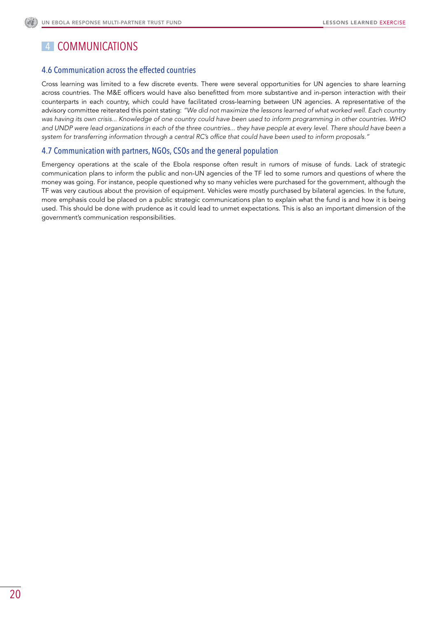### **4 COMMUNICATIONS**

#### 4.6 Communication across the effected countries

Cross learning was limited to a few discrete events. There were several opportunities for UN agencies to share learning across countries. The M&E officers would have also benefitted from more substantive and in-person interaction with their counterparts in each country, which could have facilitated cross-learning between UN agencies. A representative of the advisory committee reiterated this point stating: *"We did not maximize the lessons learned of what worked well. Each country was having its own crisis... Knowledge of one country could have been used to inform programming in other countries. WHO*  and UNDP were lead organizations in each of the three countries... they have people at every level. There should have been a *system for transferring information through a central RC's office that could have been used to inform proposals."*

#### 4.7 Communication with partners, NGOs, CSOs and the general population

Emergency operations at the scale of the Ebola response often result in rumors of misuse of funds. Lack of strategic communication plans to inform the public and non-UN agencies of the TF led to some rumors and questions of where the money was going. For instance, people questioned why so many vehicles were purchased for the government, although the TF was very cautious about the provision of equipment. Vehicles were mostly purchased by bilateral agencies. In the future, more emphasis could be placed on a public strategic communications plan to explain what the fund is and how it is being used. This should be done with prudence as it could lead to unmet expectations. This is also an important dimension of the government's communication responsibilities.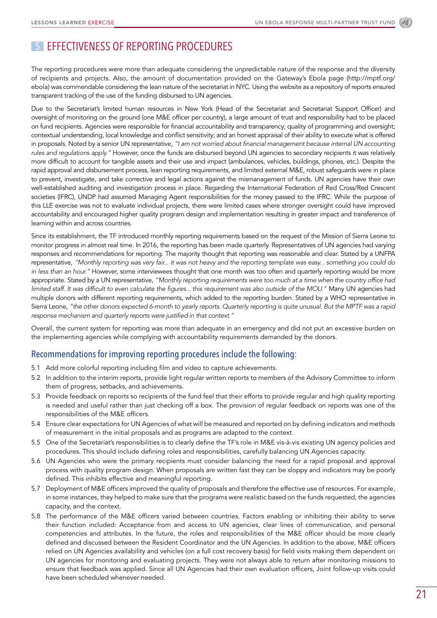### 5 EFFECTIVENESS OF REPORTING PROCEDURES

The reporting procedures were more than adequate considering the unpredictable nature of the response and the diversity of recipients and projects. Also, the amount of documentation provided on the Gateway's Ebola page (http://mptf.org/ ebola) was commendable considering the lean nature of the secretariat in NYC. Using the website as a repository of reports ensured transparent tracking of the use of the funding disbursed to UN agencies.

Due to the Secretariat's limited human resources in New York (Head of the Secretariat and Secretariat Support Officer) and oversight of monitoring on the ground (one M&E officer per country), a large amount of trust and responsibility had to be placed on fund recipients. Agencies were responsible for financial accountability and transparency; quality of programming and oversight; contextual understanding, local knowledge and conflict sensitivity; and an honest appraisal of their ability to execute what is offered in proposals. Noted by a senior UN representative, *"I am not worried about financial management because internal UN accounting rules and regulations apply."* However, once the funds are disbursed beyond UN agencies to secondary recipients it was relatively more difficult to account for tangible assets and their use and impact (ambulances, vehicles, buildings, phones, etc.). Despite the rapid approval and disbursement process, lean reporting requirements, and limited external M&E, robust safeguards were in place to prevent, investigate, and take corrective and legal actions against the mismanagement of funds. UN agencies have their own well-established auditing and investigation process in place. Regarding the International Federation of Red Cross/Red Crescent societies (IFRC), UNDP had assumed Managing Agent responsibilities for the money passed to the IFRC. While the purpose of this LLE exercise was not to evaluate individual projects, there were limited cases where stronger oversight could have improved accountability and encouraged higher quality program design and implementation resulting in greater impact and transference of learning within and across countries.

Since its establishment, the TF introduced monthly reporting requirements based on the request of the Mission of Sierra Leone to monitor progress in almost real time. In 2016, the reporting has been made quarterly. Representatives of UN agencies had varying responses and recommendations for reporting. The majority thought that reporting was reasonable and clear. Stated by a UNFPA representative, *"Monthly reporting was very fair... it was not heavy and the reporting template was easy... something you could do in less than an hour."* However, some interviewees thought that one month was too often and quarterly reporting would be more appropriate. Stated by a UN representative, *"Monthly reporting requirements were too much at a time when the country office had limited staff. It was difficult to even calculate the figures... this requirement was also outside of the MOU."* Many UN agencies had multiple donors with different reporting requirements, which added to the reporting burden. Stated by a WHO representative in Sierra Leone, *"the other donors expected 6-month to yearly reports. Quarterly reporting is quite unusual. But the MPTF was a rapid response mechanism and quarterly reports were justified in that context."*

Overall, the current system for reporting was more than adequate in an emergency and did not put an excessive burden on the implementing agencies while complying with accountability requirements demanded by the donors.

### Recommendations for improving reporting procedures include the following:

- 5.1 Add more colorful reporting including film and video to capture achievements.
- 5.2 In addition to the interim reports, provide light regular written reports to members of the Advisory Committee to inform them of progress, setbacks, and achievements.
- 5.3 Provide feedback on reports so recipients of the fund feel that their efforts to provide regular and high quality reporting is needed and useful rather than just checking off a box. The provision of regular feedback on reports was one of the responsibilities of the M&E officers.
- 5.4 Ensure clear expectations for UN Agencies of what will be measured and reported on by defining indicators and methods of measurement in the initial proposals and as programs are adapted to the context.
- 5.5 One of the Secretariat's responsibilities is to clearly define the TF's role in M&E vis-à-vis existing UN agency policies and procedures. This should include defining roles and responsibilities, carefully balancing UN Agencies capacity.
- 5.6 UN Agencies who were the primary recipients must consider balancing the need for a rapid proposal and approval process with quality program design. When proposals are written fast they can be sloppy and indicators may be poorly defined. This inhibits effective and meaningful reporting.
- 5.7 Deployment of M&E officers improved the quality of proposals and therefore the effective use of resources. For example, in some instances, they helped to make sure that the programs were realistic based on the funds requested, the agencies capacity, and the context.
- 5.8 The performance of the M&E officers varied between countries. Factors enabling or inhibiting their ability to serve their function included: Acceptance from and access to UN agencies, clear lines of communication, and personal competencies and attributes. In the future, the roles and responsibilities of the M&E officer should be more clearly defined and discussed between the Resident Coordinator and the UN Agencies. In addition to the above, M&E officers relied on UN Agencies availability and vehicles (on a full cost recovery basis) for field visits making them dependent on UN agencies for monitoring and evaluating projects. They were not always able to return after monitoring missions to ensure that feedback was applied. Since all UN Agencies had their own evaluation officers, Joint follow-up visits could have been scheduled whenever needed.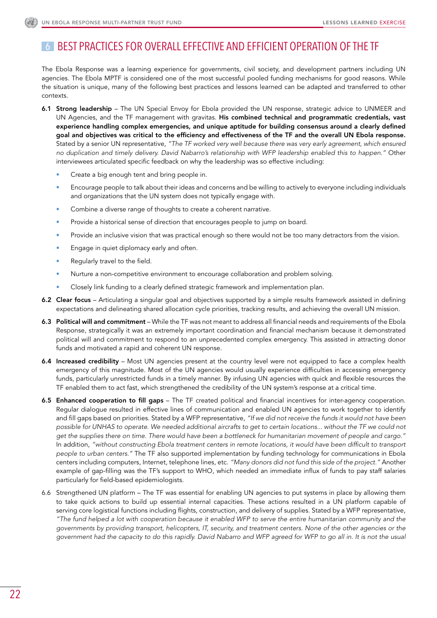### 6 BEST PRACTICES FOR OVERALL EFFECTIVE AND EFFICIENT OPERATION OF THE TF

The Ebola Response was a learning experience for governments, civil society, and development partners including UN agencies. The Ebola MPTF is considered one of the most successful pooled funding mechanisms for good reasons. While the situation is unique, many of the following best practices and lessons learned can be adapted and transferred to other contexts.

- 6.1 Strong leadership The UN Special Envoy for Ebola provided the UN response, strategic advice to UNMEER and UN Agencies, and the TF management with gravitas. His combined technical and programmatic credentials, vast experience handling complex emergencies, and unique aptitude for building consensus around a clearly defined goal and objectives was critical to the efficiency and effectiveness of the TF and the overall UN Ebola response. Stated by a senior UN representative, *"The TF worked very well because there was very early agreement, which ensured no duplication and timely delivery. David Nabarro's relationship with WFP leadership enabled this to happen."* Other interviewees articulated specific feedback on why the leadership was so effective including:
	- Create a big enough tent and bring people in.
	- Encourage people to talk about their ideas and concerns and be willing to actively to everyone including individuals and organizations that the UN system does not typically engage with.
	- Combine a diverse range of thoughts to create a coherent narrative.
	- Provide a historical sense of direction that encourages people to jump on board.
	- Provide an inclusive vision that was practical enough so there would not be too many detractors from the vision.
	- Engage in quiet diplomacy early and often.
	- Regularly travel to the field.
	- Nurture a non-competitive environment to encourage collaboration and problem solving.
	- Closely link funding to a clearly defined strategic framework and implementation plan.
- 6.2 Clear focus Articulating a singular goal and objectives supported by a simple results framework assisted in defining expectations and delineating shared allocation cycle priorities, tracking results, and achieving the overall UN mission.
- 6.3 Political will and commitment While the TF was not meant to address all financial needs and requirements of the Ebola Response, strategically it was an extremely important coordination and financial mechanism because it demonstrated political will and commitment to respond to an unprecedented complex emergency. This assisted in attracting donor funds and motivated a rapid and coherent UN response.
- 6.4 Increased credibility Most UN agencies present at the country level were not equipped to face a complex health emergency of this magnitude. Most of the UN agencies would usually experience difficulties in accessing emergency funds, particularly unrestricted funds in a timely manner. By infusing UN agencies with quick and flexible resources the TF enabled them to act fast, which strengthened the credibility of the UN system's response at a critical time.
- 6.5 Enhanced cooperation to fill gaps The TF created political and financial incentives for inter-agency cooperation. Regular dialogue resulted in effective lines of communication and enabled UN agencies to work together to identify and fill gaps based on priorities. Stated by a WFP representative, *"If we did not receive the funds it would not have been possible for UNHAS to operate. We needed additional aircrafts to get to certain locations... without the TF we could not get the supplies there on time. There would have been a bottleneck for humanitarian movement of people and cargo."*  In addition, *"without constructing Ebola treatment centers in remote locations, it would have been difficult to transport people to urban centers."* The TF also supported implementation by funding technology for communications in Ebola centers including computers, Internet, telephone lines, etc. *"Many donors did not fund this side of the project."* Another example of gap-filling was the TF's support to WHO, which needed an immediate influx of funds to pay staff salaries particularly for field-based epidemiologists.
- 6.6 Strengthened UN platform The TF was essential for enabling UN agencies to put systems in place by allowing them to take quick actions to build up essential internal capacities. These actions resulted in a UN platform capable of serving core logistical functions including flights, construction, and delivery of supplies. Stated by a WFP representative, *"The fund helped a lot with cooperation because it enabled WFP to serve the entire humanitarian community and the governments by providing transport, helicopters, IT, security, and treatment centers. None of the other agencies or the government had the capacity to do this rapidly. David Nabarro and WFP agreed for WFP to go all in. It is not the usual*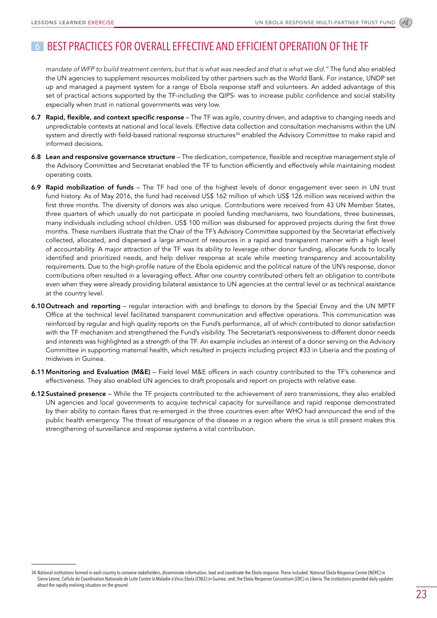## 6 BEST PRACTICES FOR OVERALL EFFECTIVE AND EFFICIENT OPERATION OF THE TF

*mandate of WFP to build treatment centers, but that is what was needed and that is what we did."* The fund also enabled the UN agencies to supplement resources mobilized by other partners such as the World Bank. For instance, UNDP set up and managed a payment system for a range of Ebola response staff and volunteers. An added advantage of this set of practical actions supported by the TF-including the QIPS- was to increase public confidence and social stability especially when trust in national governments was very low.

- 6.7 Rapid, flexible, and context specific response The TF was agile, country driven, and adaptive to changing needs and unpredictable contexts at national and local levels. Effective data collection and consultation mechanisms within the UN system and directly with field-based national response structures<sup>34</sup> enabled the Advisory Committee to make rapid and informed decisions.
- 6.8 Lean and responsive governance structure The dedication, competence, flexible and receptive management style of the Advisory Committee and Secretariat enabled the TF to function efficiently and effectively while maintaining modest operating costs.
- 6.9 Rapid mobilization of funds The TF had one of the highest levels of donor engagement ever seen in UN trust fund history. As of May 2016, the fund had received US\$ 162 million of which US\$ 126 million was received within the first three months. The diversity of donors was also unique. Contributions were received from 43 UN Member States, three quarters of which usually do not participate in pooled funding mechanisms, two foundations, three businesses, many individuals including school children. US\$ 100 million was disbursed for approved projects during the first three months. These numbers illustrate that the Chair of the TF's Advisory Committee supported by the Secretariat effectively collected, allocated, and dispersed a large amount of resources in a rapid and transparent manner with a high level of accountability. A major attraction of the TF was its ability to leverage other donor funding, allocate funds to locally identified and prioritized needs, and help deliver response at scale while meeting transparency and accountability requirements. Due to the high-profile nature of the Ebola epidemic and the political nature of the UN's response, donor contributions often resulted in a leveraging effect. After one country contributed others felt an obligation to contribute even when they were already providing bilateral assistance to UN agencies at the central level or as technical assistance at the country level.
- 6.10 Outreach and reporting regular interaction with and briefings to donors by the Special Envoy and the UN MPTF Office at the technical level facilitated transparent communication and effective operations. This communication was reinforced by regular and high quality reports on the Fund's performance, all of which contributed to donor satisfaction with the TF mechanism and strengthened the Fund's visibility. The Secretariat's responsiveness to different donor needs and interests was highlighted as a strength of the TF. An example includes an interest of a donor serving on the Advisory Committee in supporting maternal health, which resulted in projects including project #33 in Liberia and the posting of midwives in Guinea.
- 6.11Monitoring and Evaluation (M&E) Field level M&E officers in each country contributed to the TF's coherence and effectiveness. They also enabled UN agencies to draft proposals and report on projects with relative ease.
- 6.12 Sustained presence While the TF projects contributed to the achievement of zero transmissions, they also enabled UN agencies and local governments to acquire technical capacity for surveillance and rapid response demonstrated by their ability to contain flares that re-emerged in the three countries even after WHO had announced the end of the public health emergency. The threat of resurgence of the disease in a region where the virus is still present makes this strengthening of surveillance and response systems a vital contribution.

<sup>34</sup> National institutions formed in each country to convene stakeholders, disseminate information, lead and coordinate the Ebola response. These included: National Ebola Response Centre (NERC) in Sierra Leone; Cellule de Coordination Nationale de Lutte Contre la Maladie à Virus Ebola (CNLE) in Guinea; and, the Ebola Response Consortium (ERC) in Liberia. The institutions provided daily updates about the rapidly evolving situation on the ground.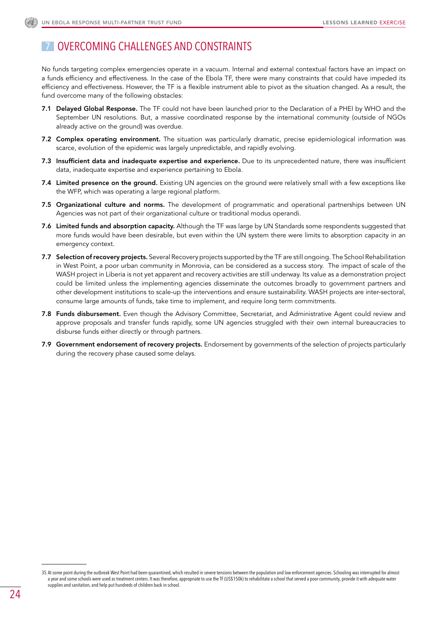### 7 OVERCOMING CHALLENGES AND CONSTRAINTS

No funds targeting complex emergencies operate in a vacuum. Internal and external contextual factors have an impact on a funds efficiency and effectiveness. In the case of the Ebola TF, there were many constraints that could have impeded its efficiency and effectiveness. However, the TF is a flexible instrument able to pivot as the situation changed. As a result, the fund overcome many of the following obstacles:

- 7.1 Delayed Global Response. The TF could not have been launched prior to the Declaration of a PHEI by WHO and the September UN resolutions. But, a massive coordinated response by the international community (outside of NGOs already active on the ground) was overdue.
- 7.2 Complex operating environment. The situation was particularly dramatic, precise epidemiological information was scarce, evolution of the epidemic was largely unpredictable, and rapidly evolving.
- 7.3 Insufficient data and inadequate expertise and experience. Due to its unprecedented nature, there was insufficient data, inadequate expertise and experience pertaining to Ebola.
- 7.4 Limited presence on the ground. Existing UN agencies on the ground were relatively small with a few exceptions like the WFP, which was operating a large regional platform.
- 7.5 Organizational culture and norms. The development of programmatic and operational partnerships between UN Agencies was not part of their organizational culture or traditional modus operandi.
- 7.6 Limited funds and absorption capacity. Although the TF was large by UN Standards some respondents suggested that more funds would have been desirable, but even within the UN system there were limits to absorption capacity in an emergency context.
- 7.7 Selection of recovery projects. Several Recovery projects supported by the TF are still ongoing. The School Rehabilitation in West Point, a poor urban community in Monrovia, can be considered as a success story. The impact of scale of the WASH project in Liberia is not yet apparent and recovery activities are still underway. Its value as a demonstration project could be limited unless the implementing agencies disseminate the outcomes broadly to government partners and other development institutions to scale-up the interventions and ensure sustainability. WASH projects are inter-sectoral, consume large amounts of funds, take time to implement, and require long term commitments.
- 7.8 Funds disbursement. Even though the Advisory Committee, Secretariat, and Administrative Agent could review and approve proposals and transfer funds rapidly, some UN agencies struggled with their own internal bureaucracies to disburse funds either directly or through partners.
- 7.9 Government endorsement of recovery projects. Endorsement by governments of the selection of projects particularly during the recovery phase caused some delays.

<sup>35</sup> At some point during the outbreak West Point had been quarantined, which resulted in severe tensions between the population and law enforcement agencies. Schooling was interrupted for almost a year and some schools were used as treatment centers. It was therefore, appropriate to use the TF (US\$150k) to rehabilitate a school that served a poor community, provide it with adequate water supplies and sanitation, and help put hundreds of children back in school.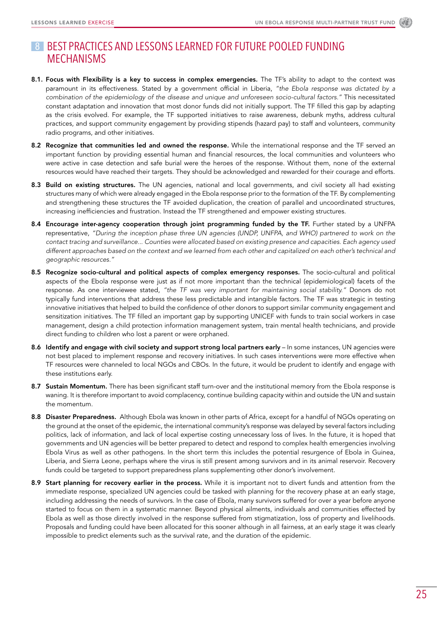### 8 BEST PRACTICES AND LESSONS LEARNED FOR FUTURE POOLED FUNDING **MECHANISMS**

- 8.1. Focus with Flexibility is a key to success in complex emergencies. The TF's ability to adapt to the context was paramount in its effectiveness. Stated by a government official in Liberia, *"the Ebola response was dictated by a combination of the epidemiology of the disease and unique and unforeseen socio-cultural factors."* This necessitated constant adaptation and innovation that most donor funds did not initially support. The TF filled this gap by adapting as the crisis evolved. For example, the TF supported initiatives to raise awareness, debunk myths, address cultural practices, and support community engagement by providing stipends (hazard pay) to staff and volunteers, community radio programs, and other initiatives.
- 8.2 Recognize that communities led and owned the response. While the international response and the TF served an important function by providing essential human and financial resources, the local communities and volunteers who were active in case detection and safe burial were the heroes of the response. Without them, none of the external resources would have reached their targets. They should be acknowledged and rewarded for their courage and efforts.
- 8.3 Build on existing structures. The UN agencies, national and local governments, and civil society all had existing structures many of which were already engaged in the Ebola response prior to the formation of the TF. By complementing and strengthening these structures the TF avoided duplication, the creation of parallel and uncoordinated structures, increasing inefficiencies and frustration. Instead the TF strengthened and empower existing structures.
- 8.4 Encourage inter-agency cooperation through joint programming funded by the TF. Further stated by a UNFPA representative, *"During the inception phase three UN agencies (UNDP, UNFPA, and WHO) partnered to work on the contact tracing and surveillance... Counties were allocated based on existing presence and capacities. Each agency used different approaches based on the context and we learned from each other and capitalized on each other's technical and geographic resources."*
- 8.5 Recognize socio-cultural and political aspects of complex emergency responses. The socio-cultural and political aspects of the Ebola response were just as if not more important than the technical (epidemiological) facets of the response. As one interviewee stated, *"the TF was very important for maintaining social stability."* Donors do not typically fund interventions that address these less predictable and intangible factors. The TF was strategic in testing innovative initiatives that helped to build the confidence of other donors to support similar community engagement and sensitization initiatives. The TF filled an important gap by supporting UNICEF with funds to train social workers in case management, design a child protection information management system, train mental health technicians, and provide direct funding to children who lost a parent or were orphaned.
- 8.6 Identify and engage with civil society and support strong local partners early In some instances, UN agencies were not best placed to implement response and recovery initiatives. In such cases interventions were more effective when TF resources were channeled to local NGOs and CBOs. In the future, it would be prudent to identify and engage with these institutions early.
- 8.7 Sustain Momentum. There has been significant staff turn-over and the institutional memory from the Ebola response is waning. It is therefore important to avoid complacency, continue building capacity within and outside the UN and sustain the momentum.
- 8.8 Disaster Preparedness. Although Ebola was known in other parts of Africa, except for a handful of NGOs operating on the ground at the onset of the epidemic, the international community's response was delayed by several factors including politics, lack of information, and lack of local expertise costing unnecessary loss of lives. In the future, it is hoped that governments and UN agencies will be better prepared to detect and respond to complex health emergencies involving Ebola Virus as well as other pathogens. In the short term this includes the potential resurgence of Ebola in Guinea, Liberia, and Sierra Leone, perhaps where the virus is still present among survivors and in its animal reservoir. Recovery funds could be targeted to support preparedness plans supplementing other donor's involvement.
- 8.9 Start planning for recovery earlier in the process. While it is important not to divert funds and attention from the immediate response, specialized UN agencies could be tasked with planning for the recovery phase at an early stage, including addressing the needs of survivors. In the case of Ebola, many survivors suffered for over a year before anyone started to focus on them in a systematic manner. Beyond physical ailments, individuals and communities effected by Ebola as well as those directly involved in the response suffered from stigmatization, loss of property and livelihoods. Proposals and funding could have been allocated for this sooner although in all fairness, at an early stage it was clearly impossible to predict elements such as the survival rate, and the duration of the epidemic.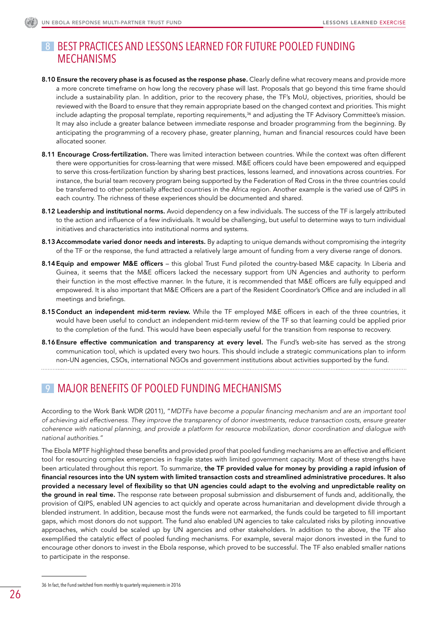### 8 BEST PRACTICES AND LESSONS LEARNED FOR FUTURE POOLED FUNDING **MECHANISMS**

- 8.10 Ensure the recovery phase is as focused as the response phase. Clearly define what recovery means and provide more a more concrete timeframe on how long the recovery phase will last. Proposals that go beyond this time frame should include a sustainability plan. In addition, prior to the recovery phase, the TF's MoU, objectives, priorities, should be reviewed with the Board to ensure that they remain appropriate based on the changed context and priorities. This might include adapting the proposal template, reporting requirements,<sup>36</sup> and adjusting the TF Advisory Committee's mission. It may also include a greater balance between immediate response and broader programming from the beginning. By anticipating the programming of a recovery phase, greater planning, human and financial resources could have been allocated sooner.
- 8.11 Encourage Cross-fertilization. There was limited interaction between countries. While the context was often different there were opportunities for cross-learning that were missed. M&E officers could have been empowered and equipped to serve this cross-fertilization function by sharing best practices, lessons learned, and innovations across countries. For instance, the burial team recovery program being supported by the Federation of Red Cross in the three countries could be transferred to other potentially affected countries in the Africa region. Another example is the varied use of QIPS in each country. The richness of these experiences should be documented and shared.
- 8.12 Leadership and institutional norms. Avoid dependency on a few individuals. The success of the TF is largely attributed to the action and influence of a few individuals. It would be challenging, but useful to determine ways to turn individual initiatives and characteristics into institutional norms and systems.
- 8.13 Accommodate varied donor needs and interests. By adapting to unique demands without compromising the integrity of the TF or the response, the fund attracted a relatively large amount of funding from a very diverse range of donors.
- 8.14 Equip and empower M&E officers this global Trust Fund piloted the country-based M&E capacity. In Liberia and Guinea, it seems that the M&E officers lacked the necessary support from UN Agencies and authority to perform their function in the most effective manner. In the future, it is recommended that M&E officers are fully equipped and empowered. It is also important that M&E Officers are a part of the Resident Coordinator's Office and are included in all meetings and briefings.
- 8.15 Conduct an independent mid-term review. While the TF employed M&E officers in each of the three countries, it would have been useful to conduct an independent mid-term review of the TF so that learning could be applied prior to the completion of the fund. This would have been especially useful for the transition from response to recovery.
- 8.16 Ensure effective communication and transparency at every level. The Fund's web-site has served as the strong communication tool, which is updated every two hours. This should include a strategic communications plan to inform non-UN agencies, CSOs, international NGOs and government institutions about activities supported by the fund.

### 9 MAJOR BENEFITS OF POOLED FUNDING MECHANISMS

According to the Work Bank WDR (2011), "*MDTFs have become a popular financing mechanism and are an important tool of achieving aid effectiveness. They improve the transparency of donor investments, reduce transaction costs, ensure greater coherence with national planning, and provide a platform for resource mobilization, donor coordination and dialogue with national authorities."* 

The Ebola MPTF highlighted these benefits and provided proof that pooled funding mechanisms are an effective and efficient tool for resourcing complex emergencies in fragile states with limited government capacity. Most of these strengths have been articulated throughout this report. To summarize, the TF provided value for money by providing a rapid infusion of financial resources into the UN system with limited transaction costs and streamlined administrative procedures. It also provided a necessary level of flexibility so that UN agencies could adapt to the evolving and unpredictable reality on the ground in real time. The response rate between proposal submission and disbursement of funds and, additionally, the provision of QIPS, enabled UN agencies to act quickly and operate across humanitarian and development divide through a blended instrument. In addition, because most the funds were not earmarked, the funds could be targeted to fill important gaps, which most donors do not support. The fund also enabled UN agencies to take calculated risks by piloting innovative approaches, which could be scaled up by UN agencies and other stakeholders. In addition to the above, the TF also exemplified the catalytic effect of pooled funding mechanisms. For example, several major donors invested in the fund to encourage other donors to invest in the Ebola response, which proved to be successful. The TF also enabled smaller nations to participate in the response.

<sup>36</sup> In fact, the Fund switched from monthly to quarterly requirements in 2016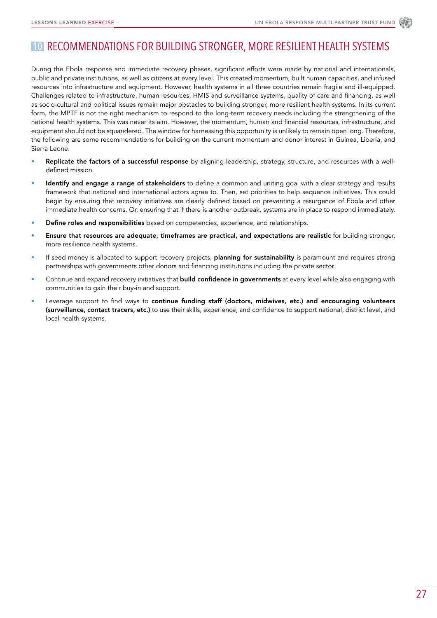### 10 RECOMMENDATIONS FOR BUILDING STRONGER, MORE RESILIENT HEALTH SYSTEMS

During the Ebola response and immediate recovery phases, significant efforts were made by national and internationals, public and private institutions, as well as citizens at every level. This created momentum, built human capacities, and infused resources into infrastructure and equipment. However, health systems in all three countries remain fragile and ill-equipped. Challenges related to infrastructure, human resources, HMIS and surveillance systems, quality of care and financing, as well as socio-cultural and political issues remain major obstacles to building stronger, more resilient health systems. In its current form, the MPTF is not the right mechanism to respond to the long-term recovery needs including the strengthening of the national health systems. This was never its aim. However, the momentum, human and financial resources, infrastructure, and equipment should not be squandered. The window for harnessing this opportunity is unlikely to remain open long. Therefore, the following are some recommendations for building on the current momentum and donor interest in Guinea, Liberia, and Sierra Leone.

- **Replicate the factors of a successful response** by aligning leadership, strategy, structure, and resources with a welldefined mission.
- Identify and engage a range of stakeholders to define a common and uniting goal with a clear strategy and results framework that national and international actors agree to. Then, set priorities to help sequence initiatives. This could begin by ensuring that recovery initiatives are clearly defined based on preventing a resurgence of Ebola and other immediate health concerns. Or, ensuring that if there is another outbreak, systems are in place to respond immediately.
- Define roles and responsibilities based on competencies, experience, and relationships.
- Ensure that resources are adequate, timeframes are practical, and expectations are realistic for building stronger, more resilience health systems.
- If seed money is allocated to support recovery projects, planning for sustainability is paramount and requires strong partnerships with governments other donors and financing institutions including the private sector.
- Continue and expand recovery initiatives that **build confidence in governments** at every level while also engaging with communities to gain their buy-in and support.
- Leverage support to find ways to continue funding staff (doctors, midwives, etc.) and encouraging volunteers (surveillance, contact tracers, etc.) to use their skills, experience, and confidence to support national, district level, and local health systems.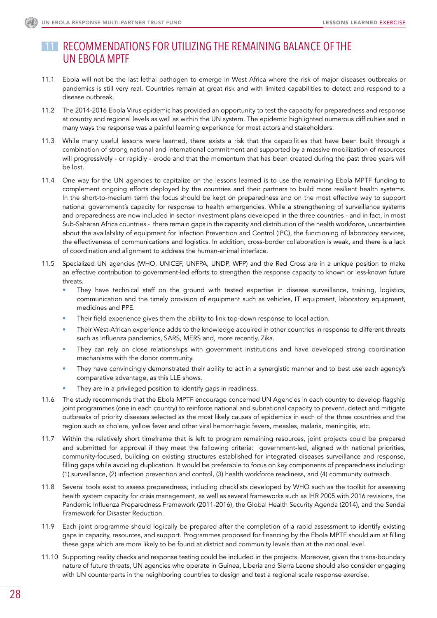### **11 RECOMMENDATIONS FOR UTILIZING THE REMAINING BALANCE OF THE** UN EBOLA MPTF

- 11.1 Ebola will not be the last lethal pathogen to emerge in West Africa where the risk of major diseases outbreaks or pandemics is still very real. Countries remain at great risk and with limited capabilities to detect and respond to a disease outbreak.
- 11.2 The 2014-2016 Ebola Virus epidemic has provided an opportunity to test the capacity for preparedness and response at country and regional levels as well as within the UN system. The epidemic highlighted numerous difficulties and in many ways the response was a painful learning experience for most actors and stakeholders.
- 11.3 While many useful lessons were learned, there exists a risk that the capabilities that have been built through a combination of strong national and international commitment and supported by a massive mobilization of resources will progressively - or rapidly - erode and that the momentum that has been created during the past three years will be lost.
- 11.4 One way for the UN agencies to capitalize on the lessons learned is to use the remaining Ebola MPTF funding to complement ongoing efforts deployed by the countries and their partners to build more resilient health systems. In the short-to-medium term the focus should be kept on preparedness and on the most effective way to support national government's capacity for response to health emergencies. While a strengthening of surveillance systems and preparedness are now included in sector investment plans developed in the three countries - and in fact, in most Sub-Saharan Africa countries - there remain gaps in the capacity and distribution of the health workforce, uncertainties about the availability of equipment for Infection Prevention and Control (IPC), the functioning of laboratory services, the effectiveness of communications and logistics. In addition, cross-border collaboration is weak, and there is a lack of coordination and alignment to address the human-animal interface.
- 11.5 Specialized UN agencies (WHO, UNICEF, UNFPA, UNDP, WFP) and the Red Cross are in a unique position to make an effective contribution to government-led efforts to strengthen the response capacity to known or less-known future threats.
	- They have technical staff on the ground with tested expertise in disease surveillance, training, logistics, communication and the timely provision of equipment such as vehicles, IT equipment, laboratory equipment, medicines and PPE.
	- Their field experience gives them the ability to link top-down response to local action.
	- Their West-African experience adds to the knowledge acquired in other countries in response to different threats such as Influenza pandemics, SARS, MERS and, more recently, Zika.
	- They can rely on close relationships with government institutions and have developed strong coordination mechanisms with the donor community.
	- They have convincingly demonstrated their ability to act in a synergistic manner and to best use each agency's comparative advantage, as this LLE shows.
	- They are in a privileged position to identify gaps in readiness.
- 11.6 The study recommends that the Ebola MPTF encourage concerned UN Agencies in each country to develop flagship joint programmes (one in each country) to reinforce national and subnational capacity to prevent, detect and mitigate outbreaks of priority diseases selected as the most likely causes of epidemics in each of the three countries and the region such as cholera, yellow fever and other viral hemorrhagic fevers, measles, malaria, meningitis, etc.
- 11.7 Within the relatively short timeframe that is left to program remaining resources, joint projects could be prepared and submitted for approval if they meet the following criteria: government-led, aligned with national priorities, community-focused, building on existing structures established for integrated diseases surveillance and response, filling gaps while avoiding duplication. It would be preferable to focus on key components of preparedness including: (1) surveillance, (2) infection prevention and control, (3) health workforce readiness, and (4) community outreach.
- 11.8 Several tools exist to assess preparedness, including checklists developed by WHO such as the toolkit for assessing health system capacity for crisis management, as well as several frameworks such as IHR 2005 with 2016 revisions, the Pandemic Influenza Preparedness Framework (2011-2016), the Global Health Security Agenda (2014), and the Sendai Framework for Disaster Reduction.
- 11.9 Each joint programme should logically be prepared after the completion of a rapid assessment to identify existing gaps in capacity, resources, and support. Programmes proposed for financing by the Ebola MPTF should aim at filling these gaps which are more likely to be found at district and community levels than at the national level.
- 11.10 Supporting reality checks and response testing could be included in the projects. Moreover, given the trans-boundary nature of future threats, UN agencies who operate in Guinea, Liberia and Sierra Leone should also consider engaging with UN counterparts in the neighboring countries to design and test a regional scale response exercise.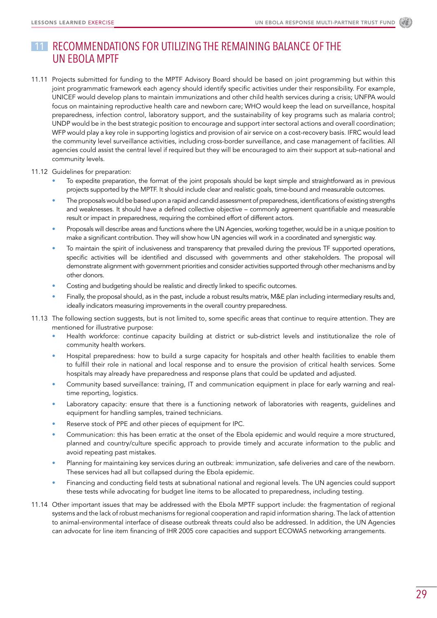### 11 RECOMMENDATIONS FOR UTILIZING THE REMAINING BALANCE OF THE UN EBOLA MPTF

- 11.11 Projects submitted for funding to the MPTF Advisory Board should be based on joint programming but within this joint programmatic framework each agency should identify specific activities under their responsibility. For example, UNICEF would develop plans to maintain immunizations and other child health services during a crisis; UNFPA would focus on maintaining reproductive health care and newborn care; WHO would keep the lead on surveillance, hospital preparedness, infection control, laboratory support, and the sustainability of key programs such as malaria control; UNDP would be in the best strategic position to encourage and support inter sectoral actions and overall coordination; WFP would play a key role in supporting logistics and provision of air service on a cost-recovery basis. IFRC would lead the community level surveillance activities, including cross-border surveillance, and case management of facilities. All agencies could assist the central level if required but they will be encouraged to aim their support at sub-national and community levels.
- 11.12 Guidelines for preparation:
	- To expedite preparation, the format of the joint proposals should be kept simple and straightforward as in previous projects supported by the MPTF. It should include clear and realistic goals, time-bound and measurable outcomes.
	- The proposals would be based upon a rapid and candid assessment of preparedness, identifications of existing strengths and weaknesses. It should have a defined collective objective – commonly agreement quantifiable and measurable result or impact in preparedness, requiring the combined effort of different actors.
	- Proposals will describe areas and functions where the UN Agencies, working together, would be in a unique position to make a significant contribution. They will show how UN agencies will work in a coordinated and synergistic way.
	- To maintain the spirit of inclusiveness and transparency that prevailed during the previous TF supported operations, specific activities will be identified and discussed with governments and other stakeholders. The proposal will demonstrate alignment with government priorities and consider activities supported through other mechanisms and by other donors.
	- Costing and budgeting should be realistic and directly linked to specific outcomes.
	- Finally, the proposal should, as in the past, include a robust results matrix, M&E plan including intermediary results and, ideally indicators measuring improvements in the overall country preparedness.
- 11.13 The following section suggests, but is not limited to, some specific areas that continue to require attention. They are mentioned for illustrative purpose:
	- Health workforce: continue capacity building at district or sub-district levels and institutionalize the role of community health workers.
	- Hospital preparedness: how to build a surge capacity for hospitals and other health facilities to enable them to fulfill their role in national and local response and to ensure the provision of critical health services. Some hospitals may already have preparedness and response plans that could be updated and adjusted.
	- Community based surveillance: training, IT and communication equipment in place for early warning and realtime reporting, logistics.
	- Laboratory capacity: ensure that there is a functioning network of laboratories with reagents, guidelines and equipment for handling samples, trained technicians.
	- Reserve stock of PPE and other pieces of equipment for IPC.
	- Communication: this has been erratic at the onset of the Ebola epidemic and would require a more structured, planned and country/culture specific approach to provide timely and accurate information to the public and avoid repeating past mistakes.
	- Planning for maintaining key services during an outbreak: immunization, safe deliveries and care of the newborn. These services had all but collapsed during the Ebola epidemic.
	- Financing and conducting field tests at subnational national and regional levels. The UN agencies could support these tests while advocating for budget line items to be allocated to preparedness, including testing.
- 11.14 Other important issues that may be addressed with the Ebola MPTF support include: the fragmentation of regional systems and the lack of robust mechanisms for regional cooperation and rapid information sharing. The lack of attention to animal-environmental interface of disease outbreak threats could also be addressed. In addition, the UN Agencies can advocate for line item financing of IHR 2005 core capacities and support ECOWAS networking arrangements.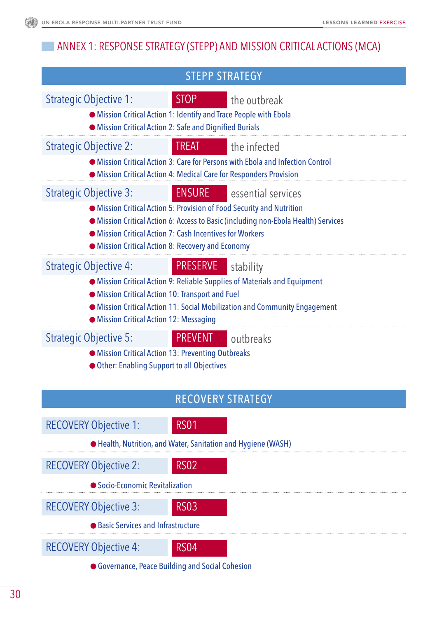# ANNEX 1: RESPONSE STRATEGY (STEPP) AND MISSION CRITICAL ACTIONS (MCA)

| <b>STEPP STRATEGY</b>                                                                                                                                                                                                                                                                                                                                |
|------------------------------------------------------------------------------------------------------------------------------------------------------------------------------------------------------------------------------------------------------------------------------------------------------------------------------------------------------|
| <b>STOP</b><br>Strategic Objective 1:<br>the outbreak<br>• Mission Critical Action 1: Identify and Trace People with Ebola<br>• Mission Critical Action 2: Safe and Dignified Burials                                                                                                                                                                |
| <b>Strategic Objective 2:</b><br>TREAT<br>the infected<br>• Mission Critical Action 3: Care for Persons with Ebola and Infection Control<br><b>Mission Critical Action 4: Medical Care for Responders Provision</b>                                                                                                                                  |
| <b>Strategic Objective 3:</b><br><b>ENSURE</b><br>essential services<br>• Mission Critical Action 5: Provision of Food Security and Nutrition<br>• Mission Critical Action 6: Access to Basic (including non-Ebola Health) Services<br>• Mission Critical Action 7: Cash Incentives for Workers<br>• Mission Critical Action 8: Recovery and Economy |
| Strategic Objective 4:<br><b>PRESERVE</b><br>stability<br>• Mission Critical Action 9: Reliable Supplies of Materials and Equipment<br>• Mission Critical Action 10: Transport and Fuel<br>• Mission Critical Action 11: Social Mobilization and Community Engagement<br>• Mission Critical Action 12: Messaging                                     |
| <b>Strategic Objective 5:</b><br>PREVENT<br>outbreaks<br>• Mission Critical Action 13: Preventing Outbreaks<br>• Other: Enabling Support to all Objectives                                                                                                                                                                                           |
| <b>RECOVERY STRATEGY</b>                                                                                                                                                                                                                                                                                                                             |
| <b>RS01</b><br><b>RECOVERY Objective 1:</b><br>● Health, Nutrition, and Water, Sanitation and Hygiene (WASH)                                                                                                                                                                                                                                         |
| <b>RS02</b><br><b>RECOVERY Objective 2:</b>                                                                                                                                                                                                                                                                                                          |
| Socio-Economic Revitalization                                                                                                                                                                                                                                                                                                                        |
| <b>RECOVERY Objective 3:</b><br>RS03<br><b>Basic Services and Infrastructure</b>                                                                                                                                                                                                                                                                     |
| <b>RECOVERY Objective 4:</b><br>RS <sub>04</sub>                                                                                                                                                                                                                                                                                                     |
| Governance, Peace Building and Social Cohesion                                                                                                                                                                                                                                                                                                       |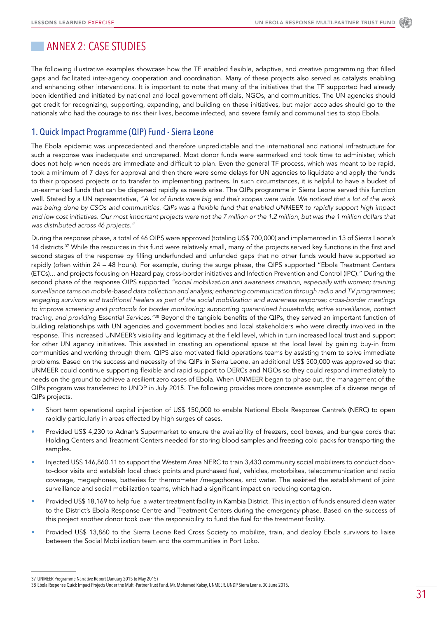The following illustrative examples showcase how the TF enabled flexible, adaptive, and creative programming that filled gaps and facilitated inter-agency cooperation and coordination. Many of these projects also served as catalysts enabling and enhancing other interventions. It is important to note that many of the initiatives that the TF supported had already been identified and initiated by national and local government officials, NGOs, and communities. The UN agencies should get credit for recognizing, supporting, expanding, and building on these initiatives, but major accolades should go to the nationals who had the courage to risk their lives, become infected, and severe family and communal ties to stop Ebola.

### 1. Quick Impact Programme (QIP) Fund - Sierra Leone

The Ebola epidemic was unprecedented and therefore unpredictable and the international and national infrastructure for such a response was inadequate and unprepared. Most donor funds were earmarked and took time to administer, which does not help when needs are immediate and difficult to plan. Even the general TF process, which was meant to be rapid, took a minimum of 7 days for approval and then there were some delays for UN agencies to liquidate and apply the funds to their proposed projects or to transfer to implementing partners. In such circumstances, it is helpful to have a bucket of un-earmarked funds that can be dispersed rapidly as needs arise. The QIPs programme in Sierra Leone served this function well. Stated by a UN representative, *"A lot of funds were big and their scopes were wide. We noticed that a lot of the work*  was being done by CSOs and communities. QIPs was a flexible fund that enabled UNMEER to rapidly support high impact *and low cost initiatives. Our most important projects were not the 7 million or the 1.2 million, but was the 1 million dollars that was distributed across 46 projects."*

During the response phase, a total of 46 QIPS were approved (totaling US\$ 700,000) and implemented in 13 of Sierra Leone's 14 districts.<sup>37</sup> While the resources in this fund were relatively small, many of the projects served key functions in the first and second stages of the response by filling underfunded and unfunded gaps that no other funds would have supported so rapidly (often within 24 – 48 hours). For example, during the surge phase, the QIPS supported "Ebola Treatment Centers (ETCs)... and projects focusing on Hazard pay, cross-border initiatives and Infection Prevention and Control (IPC)." During the second phase of the response QIPS supported *"social mobilization and awareness creation, especially with women; training surveillance tams on mobile-based data collection and analysis; enhancing communication through radio and TV programmes; engaging survivors and traditional healers as part of the social mobilization and awareness response; cross-border meetings to improve screening and protocols for border monitoring; supporting quarantined households; active surveillance, contact tracing, and providing Essential Services."*38 Beyond the tangible benefits of the QIPs, they served an important function of building relationships with UN agencies and government bodies and local stakeholders who were directly involved in the response. This increased UNMEER's visibility and legitimacy at the field level, which in turn increased local trust and support for other UN agency initiatives. This assisted in creating an operational space at the local level by gaining buy-in from communities and working through them. QIPS also motivated field operations teams by assisting them to solve immediate problems. Based on the success and necessity of the QIPs in Sierra Leone, an additional US\$ 500,000 was approved so that UNMEER could continue supporting flexible and rapid support to DERCs and NGOs so they could respond immediately to needs on the ground to achieve a resilient zero cases of Ebola. When UNMEER began to phase out, the management of the QIPs program was transferred to UNDP in July 2015. The following provides more concreate examples of a diverse range of QIPs projects.

- Short term operational capital injection of US\$ 150,000 to enable National Ebola Response Centre's (NERC) to open rapidly particularly in areas effected by high surges of cases.
- Provided US\$ 4,230 to Adnan's Supermarket to ensure the availability of freezers, cool boxes, and bungee cords that Holding Centers and Treatment Centers needed for storing blood samples and freezing cold packs for transporting the samples.
- Injected US\$ 146,860.11 to support the Western Area NERC to train 3,430 community social mobilizers to conduct doorto-door visits and establish local check points and purchased fuel, vehicles, motorbikes, telecommunication and radio coverage, megaphones, batteries for thermometer /megaphones, and water. The assisted the establishment of joint surveillance and social mobilization teams, which had a significant impact on reducing contagion.
- Provided US\$ 18,169 to help fuel a water treatment facility in Kambia District. This injection of funds ensured clean water to the District's Ebola Response Centre and Treatment Centers during the emergency phase. Based on the success of this project another donor took over the responsibility to fund the fuel for the treatment facility.
- Provided US\$ 13,860 to the Sierra Leone Red Cross Society to mobilize, train, and deploy Ebola survivors to liaise between the Social Mobilization team and the communities in Port Loko.

<sup>37</sup> UNMEER Programme Narrative Report (January 2015 to May 2015)

<sup>38</sup> Ebola Response Quick Impact Projects Under the Multi-Partner Trust Fund. Mr. Mohamed Kakay, UNMEER. UNDP Sierra Leone. 30 June 2015.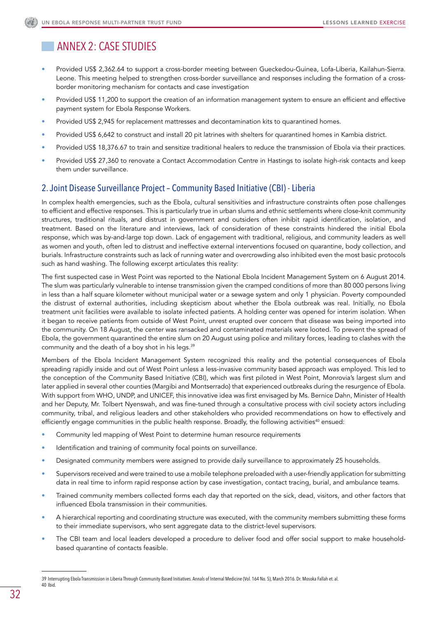- Provided US\$ 2,362.64 to support a cross-border meeting between Gueckedou-Guinea, Lofa-Liberia, Kailahun-Sierra. Leone. This meeting helped to strengthen cross-border surveillance and responses including the formation of a crossborder monitoring mechanism for contacts and case investigation
- Provided US\$ 11,200 to support the creation of an information management system to ensure an efficient and effective payment system for Ebola Response Workers.
- Provided US\$ 2,945 for replacement mattresses and decontamination kits to quarantined homes.
- Provided US\$ 6,642 to construct and install 20 pit latrines with shelters for quarantined homes in Kambia district.
- Provided US\$ 18,376.67 to train and sensitize traditional healers to reduce the transmission of Ebola via their practices.
- Provided US\$ 27,360 to renovate a Contact Accommodation Centre in Hastings to isolate high-risk contacts and keep them under surveillance.

### 2. Joint Disease Surveillance Project – Community Based Initiative (CBI) - Liberia

In complex health emergencies, such as the Ebola, cultural sensitivities and infrastructure constraints often pose challenges to efficient and effective responses. This is particularly true in urban slums and ethnic settlements where close-knit community structures, traditional rituals, and distrust in government and outsiders often inhibit rapid identification, isolation, and treatment. Based on the literature and interviews, lack of consideration of these constraints hindered the initial Ebola response, which was by-and-large top down. Lack of engagement with traditional, religious, and community leaders as well as women and youth, often led to distrust and ineffective external interventions focused on quarantine, body collection, and burials. Infrastructure constraints such as lack of running water and overcrowding also inhibited even the most basic protocols such as hand washing. The following excerpt articulates this reality:

The first suspected case in West Point was reported to the National Ebola Incident Management System on 6 August 2014. The slum was particularly vulnerable to intense transmission given the cramped conditions of more than 80 000 persons living in less than a half square kilometer without municipal water or a sewage system and only 1 physician. Poverty compounded the distrust of external authorities, including skepticism about whether the Ebola outbreak was real. Initially, no Ebola treatment unit facilities were available to isolate infected patients. A holding center was opened for interim isolation. When it began to receive patients from outside of West Point, unrest erupted over concern that disease was being imported into the community. On 18 August, the center was ransacked and contaminated materials were looted. To prevent the spread of Ebola, the government quarantined the entire slum on 20 August using police and military forces, leading to clashes with the community and the death of a boy shot in his legs.39

Members of the Ebola Incident Management System recognized this reality and the potential consequences of Ebola spreading rapidly inside and out of West Point unless a less-invasive community based approach was employed. This led to the conception of the Community Based Initiative (CBI), which was first piloted in West Point, Monrovia's largest slum and later applied in several other counties (Margibi and Montserrado) that experienced outbreaks during the resurgence of Ebola. With support from WHO, UNDP, and UNICEF, this innovative idea was first envisaged by Ms. Bernice Dahn, Minister of Health and her Deputy, Mr. Tolbert Nyenswah, and was fine-tuned through a consultative process with civil society actors including community, tribal, and religious leaders and other stakeholders who provided recommendations on how to effectively and efficiently engage communities in the public health response. Broadly, the following activities<sup>40</sup> ensued:

- Community led mapping of West Point to determine human resource requirements
- Identification and training of community focal points on surveillance.
- Designated community members were assigned to provide daily surveillance to approximately 25 households.
- Supervisors received and were trained to use a mobile telephone preloaded with a user-friendly application for submitting data in real time to inform rapid response action by case investigation, contact tracing, burial, and ambulance teams.
- Trained community members collected forms each day that reported on the sick, dead, visitors, and other factors that influenced Ebola transmission in their communities.
- A hierarchical reporting and coordinating structure was executed, with the community members submitting these forms to their immediate supervisors, who sent aggregate data to the district-level supervisors.
- The CBI team and local leaders developed a procedure to deliver food and offer social support to make householdbased quarantine of contacts feasible.

<sup>39</sup> Interrupting Ebola Transmission in Liberia Through Community-Based Initiatives. Annals of Internal Medicine (Vol. 164 No. 5), March 2016. Dr. Mosoka Fallah et. al. 40 Ibid.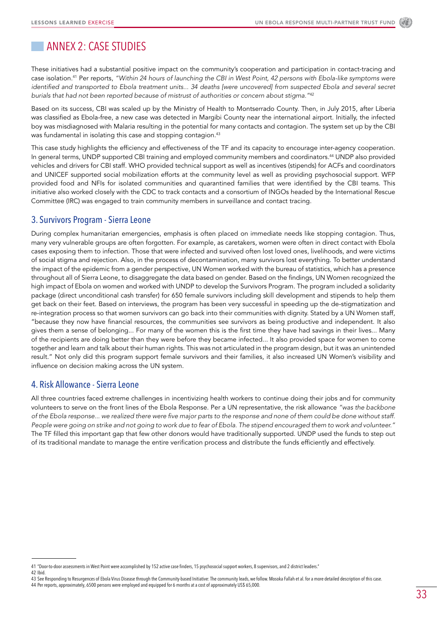These initiatives had a substantial positive impact on the community's cooperation and participation in contact-tracing and case isolation.41 Per reports, *"Within 24 hours of launching the CBI in West Point, 42 persons with Ebola-like symptoms were identified and transported to Ebola treatment units... 34 deaths [were uncovered] from suspected Ebola and several secret burials that had not been reported because of mistrust of authorities or concern about stigma."*<sup>42</sup>

Based on its success, CBI was scaled up by the Ministry of Health to Montserrado County. Then, in July 2015, after Liberia was classified as Ebola-free, a new case was detected in Margibi County near the international airport. Initially, the infected boy was misdiagnosed with Malaria resulting in the potential for many contacts and contagion. The system set up by the CBI was fundamental in isolating this case and stopping contagion.<sup>43</sup>

This case study highlights the efficiency and effectiveness of the TF and its capacity to encourage inter-agency cooperation. In general terms, UNDP supported CBI training and employed community members and coordinators.<sup>44</sup> UNDP also provided vehicles and drivers for CBI staff. WHO provided technical support as well as incentives (stipends) for ACFs and coordinators and UNICEF supported social mobilization efforts at the community level as well as providing psychosocial support. WFP provided food and NFIs for isolated communities and quarantined families that were identified by the CBI teams. This initiative also worked closely with the CDC to track contacts and a consortium of INGOs headed by the International Rescue Committee (IRC) was engaged to train community members in surveillance and contact tracing.

### 3. Survivors Program - Sierra Leone

During complex humanitarian emergencies, emphasis is often placed on immediate needs like stopping contagion. Thus, many very vulnerable groups are often forgotten. For example, as caretakers, women were often in direct contact with Ebola cases exposing them to infection. Those that were infected and survived often lost loved ones, livelihoods, and were victims of social stigma and rejection. Also, in the process of decontamination, many survivors lost everything. To better understand the impact of the epidemic from a gender perspective, UN Women worked with the bureau of statistics, which has a presence throughout all of Sierra Leone, to disaggregate the data based on gender. Based on the findings, UN Women recognized the high impact of Ebola on women and worked with UNDP to develop the Survivors Program. The program included a solidarity package (direct unconditional cash transfer) for 650 female survivors including skill development and stipends to help them get back on their feet. Based on interviews, the program has been very successful in speeding up the de-stigmatization and re-integration process so that women survivors can go back into their communities with dignity. Stated by a UN Women staff, "because they now have financial resources, the communities see survivors as being productive and independent. It also gives them a sense of belonging... For many of the women this is the first time they have had savings in their lives... Many of the recipients are doing better than they were before they became infected... It also provided space for women to come together and learn and talk about their human rights. This was not articulated in the program design, but it was an unintended result." Not only did this program support female survivors and their families, it also increased UN Women's visibility and influence on decision making across the UN system.

### 4. Risk Allowance - Sierra Leone

All three countries faced extreme challenges in incentivizing health workers to continue doing their jobs and for community volunteers to serve on the front lines of the Ebola Response. Per a UN representative, the risk allowance *"was the backbone of the Ebola response... we realized there were five major parts to the response and none of them could be done without staff. People were going on strike and not going to work due to fear of Ebola. The stipend encouraged them to work and volunteer."* The TF filled this important gap that few other donors would have traditionally supported. UNDP used the funds to step out of its traditional mandate to manage the entire verification process and distribute the funds efficiently and effectively.

<sup>41</sup> "Door-to-door assessments in West Point were accomplished by 152 active case finders, 15 psychosocial support workers, 8 supervisors, and 2 district leaders."

<sup>42</sup> Ibid.

<sup>43</sup> See Responding to Resurgences of Ebola Virus Disease through the Community-based Initiative: The community leads, we follow. Mosoka Fallah et al. for a more detailed description of this case.

<sup>44</sup> Per reports, approximately, 6500 persons were employed and equipped for 6 months at a cost of approximately US\$ 65,000.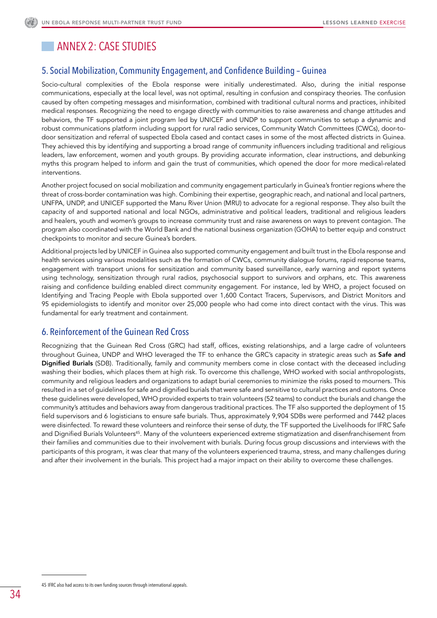### 5. Social Mobilization, Community Engagement, and Confidence Building – Guinea

Socio-cultural complexities of the Ebola response were initially underestimated. Also, during the initial response communications, especially at the local level, was not optimal, resulting in confusion and conspiracy theories. The confusion caused by often competing messages and misinformation, combined with traditional cultural norms and practices, inhibited medical responses. Recognizing the need to engage directly with communities to raise awareness and change attitudes and behaviors, the TF supported a joint program led by UNICEF and UNDP to support communities to setup a dynamic and robust communications platform including support for rural radio services, Community Watch Committees (CWCs), door-todoor sensitization and referral of suspected Ebola cased and contact cases in some of the most affected districts in Guinea. They achieved this by identifying and supporting a broad range of community influencers including traditional and religious leaders, law enforcement, women and youth groups. By providing accurate information, clear instructions, and debunking myths this program helped to inform and gain the trust of communities, which opened the door for more medical-related interventions.

Another project focused on social mobilization and community engagement particularly in Guinea's frontier regions where the threat of cross-border contamination was high. Combining their expertise, geographic reach, and national and local partners, UNFPA, UNDP, and UNICEF supported the Manu River Union (MRU) to advocate for a regional response. They also built the capacity of and supported national and local NGOs, administrative and political leaders, traditional and religious leaders and healers, youth and women's groups to increase community trust and raise awareness on ways to prevent contagion. The program also coordinated with the World Bank and the national business organization (GOHA) to better equip and construct checkpoints to monitor and secure Guinea's borders.

Additional projects led by UNICEF in Guinea also supported community engagement and built trust in the Ebola response and health services using various modalities such as the formation of CWCs, community dialogue forums, rapid response teams, engagement with transport unions for sensitization and community based surveillance, early warning and report systems using technology, sensitization through rural radios, psychosocial support to survivors and orphans, etc. This awareness raising and confidence building enabled direct community engagement. For instance, led by WHO, a project focused on Identifying and Tracing People with Ebola supported over 1,600 Contact Tracers, Supervisors, and District Monitors and 95 epidemiologists to identify and monitor over 25,000 people who had come into direct contact with the virus. This was fundamental for early treatment and containment.

### 6. Reinforcement of the Guinean Red Cross

Recognizing that the Guinean Red Cross (GRC) had staff, offices, existing relationships, and a large cadre of volunteers throughout Guinea, UNDP and WHO leveraged the TF to enhance the GRC's capacity in strategic areas such as Safe and Dignified Burials (SDB). Traditionally, family and community members come in close contact with the deceased including washing their bodies, which places them at high risk. To overcome this challenge, WHO worked with social anthropologists, community and religious leaders and organizations to adapt burial ceremonies to minimize the risks posed to mourners. This resulted in a set of guidelines for safe and dignified burials that were safe and sensitive to cultural practices and customs. Once these guidelines were developed, WHO provided experts to train volunteers (52 teams) to conduct the burials and change the community's attitudes and behaviors away from dangerous traditional practices. The TF also supported the deployment of 15 field supervisors and 6 logisticians to ensure safe burials. Thus, approximately 9,904 SDBs were performed and 7442 places were disinfected. To reward these volunteers and reinforce their sense of duty, the TF supported the Livelihoods for IFRC Safe and Dignified Burials Volunteers<sup>45</sup>. Many of the volunteers experienced extreme stigmatization and disenfranchisement from their families and communities due to their involvement with burials. During focus group discussions and interviews with the participants of this program, it was clear that many of the volunteers experienced trauma, stress, and many challenges during and after their involvement in the burials. This project had a major impact on their ability to overcome these challenges.

<sup>45</sup> IFRC also had access to its own funding sources through international appeals.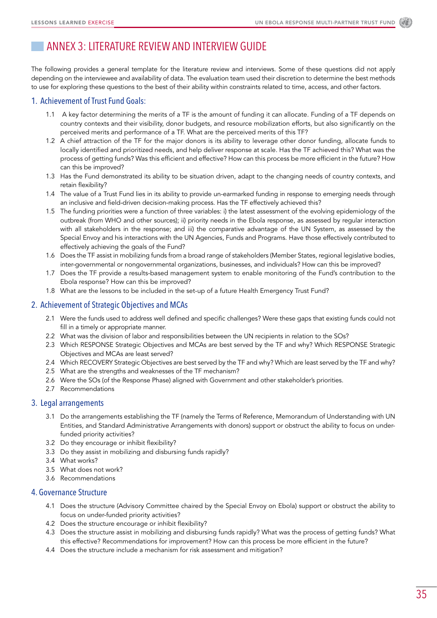### ANNEX 3: LITERATURE REVIEW AND INTERVIEW GUIDE

The following provides a general template for the literature review and interviews. Some of these questions did not apply depending on the interviewee and availability of data. The evaluation team used their discretion to determine the best methods to use for exploring these questions to the best of their ability within constraints related to time, access, and other factors.

#### 1. Achievement of Trust Fund Goals:

- 1.1 A key factor determining the merits of a TF is the amount of funding it can allocate. Funding of a TF depends on country contexts and their visibility, donor budgets, and resource mobilization efforts, but also significantly on the perceived merits and performance of a TF. What are the perceived merits of this TF?
- 1.2 A chief attraction of the TF for the major donors is its ability to leverage other donor funding, allocate funds to locally identified and prioritized needs, and help deliver response at scale. Has the TF achieved this? What was the process of getting funds? Was this efficient and effective? How can this process be more efficient in the future? How can this be improved?
- 1.3 Has the Fund demonstrated its ability to be situation driven, adapt to the changing needs of country contexts, and retain flexibility?
- 1.4 The value of a Trust Fund lies in its ability to provide un-earmarked funding in response to emerging needs through an inclusive and field-driven decision-making process. Has the TF effectively achieved this?
- 1.5 The funding priorities were a function of three variables: i) the latest assessment of the evolving epidemiology of the outbreak (from WHO and other sources); ii) priority needs in the Ebola response, as assessed by regular interaction with all stakeholders in the response; and iii) the comparative advantage of the UN System, as assessed by the Special Envoy and his interactions with the UN Agencies, Funds and Programs. Have those effectively contributed to effectively achieving the goals of the Fund?
- 1.6 Does the TF assist in mobilizing funds from a broad range of stakeholders (Member States, regional legislative bodies, inter-governmental or nongovernmental organizations, businesses, and individuals? How can this be improved?
- 1.7 Does the TF provide a results-based management system to enable monitoring of the Fund's contribution to the Ebola response? How can this be improved?
- 1.8 What are the lessons to be included in the set-up of a future Health Emergency Trust Fund?

#### 2. Achievement of Strategic Objectives and MCAs

- 2.1 Were the funds used to address well defined and specific challenges? Were these gaps that existing funds could not fill in a timely or appropriate manner.
- 2.2 What was the division of labor and responsibilities between the UN recipients in relation to the SOs?
- 2.3 Which RESPONSE Strategic Objectives and MCAs are best served by the TF and why? Which RESPONSE Strategic Objectives and MCAs are least served?
- 2.4 Which RECOVERY Strategic Objectives are best served by the TF and why? Which are least served by the TF and why?
- 2.5 What are the strengths and weaknesses of the TF mechanism?
- 2.6 Were the SOs (of the Response Phase) aligned with Government and other stakeholder's priorities.
- 2.7 Recommendations

#### 3. Legal arrangements

- 3.1 Do the arrangements establishing the TF (namely the Terms of Reference, Memorandum of Understanding with UN Entities, and Standard Administrative Arrangements with donors) support or obstruct the ability to focus on underfunded priority activities?
- 3.2 Do they encourage or inhibit flexibility?
- 3.3 Do they assist in mobilizing and disbursing funds rapidly?
- 3.4 What works?
- 3.5 What does not work?
- 3.6 Recommendations

#### 4. Governance Structure

- 4.1 Does the structure (Advisory Committee chaired by the Special Envoy on Ebola) support or obstruct the ability to focus on under-funded priority activities?
- 4.2 Does the structure encourage or inhibit flexibility?
- 4.3 Does the structure assist in mobilizing and disbursing funds rapidly? What was the process of getting funds? What this effective? Recommendations for improvement? How can this process be more efficient in the future?
- 4.4 Does the structure include a mechanism for risk assessment and mitigation?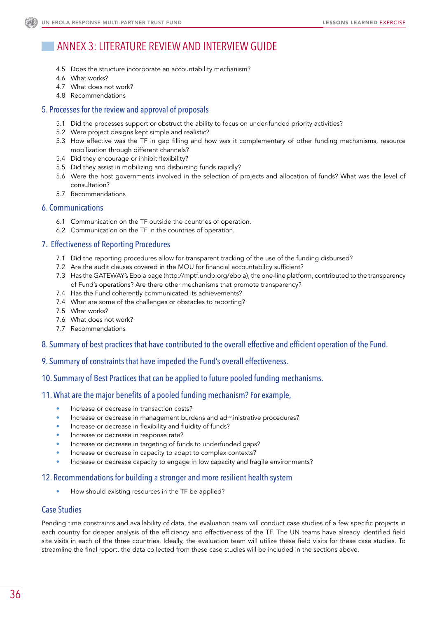### ANNEX 3: LITERATURE REVIEW AND INTERVIEW GUIDE

- 4.5 Does the structure incorporate an accountability mechanism?
- 4.6 What works?
- 4.7 What does not work?
- 4.8 Recommendations

#### 5. Processes for the review and approval of proposals

- 5.1 Did the processes support or obstruct the ability to focus on under-funded priority activities?
- 5.2 Were project designs kept simple and realistic?
- 5.3 How effective was the TF in gap filling and how was it complementary of other funding mechanisms, resource mobilization through different channels?
- 5.4 Did they encourage or inhibit flexibility?
- 5.5 Did they assist in mobilizing and disbursing funds rapidly?
- 5.6 Were the host governments involved in the selection of projects and allocation of funds? What was the level of consultation?
- 5.7 Recommendations

#### 6. Communications

- 6.1 Communication on the TF outside the countries of operation.
- 6.2 Communication on the TF in the countries of operation.

#### 7. Effectiveness of Reporting Procedures

- 7.1 Did the reporting procedures allow for transparent tracking of the use of the funding disbursed?
- 7.2 Are the audit clauses covered in the MOU for financial accountability sufficient?
- 7.3 Has the GATEWAY's Ebola page (http://mptf.undp.org/ebola), the one-line platform, contributed to the transparency of Fund's operations? Are there other mechanisms that promote transparency?
- 7.4 Has the Fund coherently communicated its achievements?
- 7.4 What are some of the challenges or obstacles to reporting?
- 7.5 What works?
- 7.6 What does not work?
- 7.7 Recommendations

#### 8. Summary of best practices that have contributed to the overall effective and efficient operation of the Fund.

- 9. Summary of constraints that have impeded the Fund's overall effectiveness.
- 10. Summary of Best Practices that can be applied to future pooled funding mechanisms.

#### 11. What are the major benefits of a pooled funding mechanism? For example,

- Increase or decrease in transaction costs?
- Increase or decrease in management burdens and administrative procedures?
- Increase or decrease in flexibility and fluidity of funds?
- Increase or decrease in response rate?
- Increase or decrease in targeting of funds to underfunded gaps?
- Increase or decrease in capacity to adapt to complex contexts?
- Increase or decrease capacity to engage in low capacity and fragile environments?

#### 12. Recommendations for building a stronger and more resilient health system

• How should existing resources in the TF be applied?

#### Case Studies

Pending time constraints and availability of data, the evaluation team will conduct case studies of a few specific projects in each country for deeper analysis of the efficiency and effectiveness of the TF. The UN teams have already identified field site visits in each of the three countries. Ideally, the evaluation team will utilize these field visits for these case studies. To streamline the final report, the data collected from these case studies will be included in the sections above.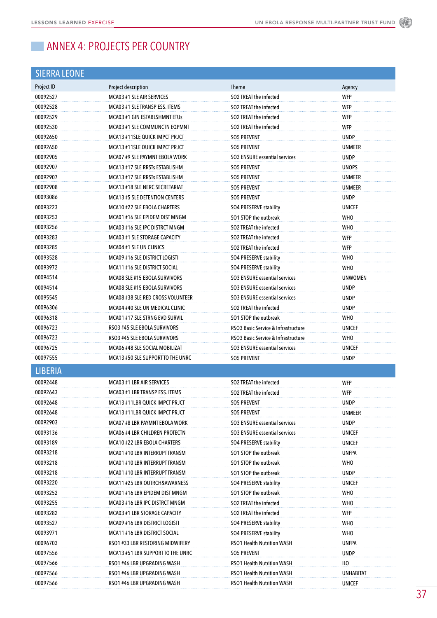# **ANNEX 4: PROJECTS PER COUNTRY**

### SIERRA LEONE

| Project ID     | Project description                   | <b>Theme</b>                         | Agency         |
|----------------|---------------------------------------|--------------------------------------|----------------|
| 00092527       | <b>MCA03 #1 SLE AIR SERVICES</b>      | SO2 TREAT the infected               | <b>WFP</b>     |
| 00092528       | MCA03 #1 SLE TRANSP ESS. ITEMS        | SO2 TREAT the infected               | <b>WFP</b>     |
| 00092529       | MCA03 #1 GIN ESTABLSHMNT ETUs         | SO2 TREAT the infected               | WFP            |
| 00092530       | MCA03 #1 SLE COMMUNCTN EQPMNT         | SO2 TREAT the infected               | <b>WFP</b>     |
| 00092650       | MCA13 #11SLE QUICK IMPCT PRJCT        | <b>SO5 PREVENT</b>                   | <b>UNDP</b>    |
| 00092650       | MCA13 #11SLE QUICK IMPCT PRJCT        | <b>SO5 PREVENT</b>                   | <b>UNMEER</b>  |
| 00092905       | MCA07 #9 SLE PAYMNT EBOLA WORK        | SO3 ENSURE essential services        | <b>UNDP</b>    |
| 00092907       | MCA13 #17 SLE RRSTs ESTABLISHM        | <b>SO5 PREVENT</b>                   | <b>UNOPS</b>   |
| 00092907       | MCA13 #17 SLE RRSTs ESTABLISHM        | <b>SO5 PREVENT</b>                   | <b>UNMEER</b>  |
| 00092908       | MCA13 #18 SLE NERC SECRETARIAT        | <b>SO5 PREVENT</b>                   | <b>UNMEER</b>  |
| 00093086       | <b>MCA13 #5 SLE DETENTION CENTERS</b> | <b>SO5 PREVENT</b>                   | <b>UNDP</b>    |
| 00093223       | MCA10 #22 SLE EBOLA CHARTERS          | <b>SO4 PRESERVE stability</b>        | <b>UNICEF</b>  |
| 00093253       | MCA01 #16 SLE EPIDEM DIST MNGM        | SO1 STOP the outbreak                | WHO            |
| 00093256       | MCA03 #16 SLE IPC DISTRCT MNGM        | SO2 TREAT the infected               | WHO            |
| 00093283       | MCA03 #1 SLE STORAGE CAPACITY         | SO2 TREAT the infected               | <b>WFP</b>     |
| 00093285       | MCA04 #1 SLE UN CLINICS               | SO2 TREAT the infected               | <b>WFP</b>     |
| 00093528       | MCA09 #16 SLE DISTRICT LOGISTI        | SO4 PRESERVE stability               | <b>WHO</b>     |
| 00093972       | MCA11 #16 SLE DISTRICT SOCIAL         | <b>SO4 PRESERVE stability</b>        | <b>WHO</b>     |
| 00094514       | MCA08 SLE #15 EBOLA SURVIVORS         | <b>SO3 ENSURE essential services</b> | <b>UNWOMEN</b> |
| 00094514       | <b>MCA08 SLE #15 EBOLA SURVIVORS</b>  | SO3 ENSURE essential services        | <b>UNDP</b>    |
| 00095545       | MCA08 #38 SLE RED CROSS VOLUNTEER     | SO3 ENSURE essential services        | <b>UNDP</b>    |
| 00096306       | MCA04 #40 SLE UN MEDICAL CLINIC       | SO2 TREAT the infected               | <b>UNDP</b>    |
| 00096318       | MCA01 #17 SLE STRNG EVD SURVIL        | SO1 STOP the outbreak                | <b>WHO</b>     |
| 00096723       | RSO3 #45 SLE EBOLA SURVIVORS          | RSO3 Basic Service & Infrastructure  | <b>UNICEF</b>  |
| 00096723       | RSO3 #45 SLE EBOLA SURVIVORS          | RSO3 Basic Service & Infrastructure  | WHO            |
| 00096725       | MCA06 #48 SLE SOCIAL MOBILIZAT        | <b>SO3 ENSURE essential services</b> | <b>UNICEF</b>  |
| 00097555       | MCA13 #50 SLE SUPPORT TO THE UNRC     | <b>SO5 PREVENT</b>                   | <b>UNDP</b>    |
| <b>LIBERIA</b> |                                       |                                      |                |
| 00092448       | <b>MCA03 #1 LBR AIR SERVICES</b>      | SO2 TREAT the infected               | <b>WFP</b>     |
| 00092643       | MCA03 #1 LBR TRANSP ESS. ITEMS        | SO2 TREAT the infected               | <b>WFP</b>     |
| 00092648       | MCA13 #11LBR QUICK IMPCT PRJCT        | <b>SO5 PREVENT</b>                   | <b>UNDP</b>    |
| 00092648       | MCA13 #11LBR QUICK IMPCT PRJCT        | <b>SO5 PREVENT</b>                   | UNMEER         |
| 00092903       | MCA07 #8 LBR PAYMNT EBOLA WORK        | SO3 ENSURE essential services        | <b>UNDP</b>    |
| 00093136       | MCA06 #4 LBR CHILDREN PROTECTN        | SO3 ENSURE essential services        | UNICEF         |
| 00093189       | MCA10 #22 LBR EBOLA CHARTERS          | <b>SO4 PRESERVE stability</b>        | UNICEF         |
| 00093218       | MCA01 #10 LBR INTERRUPT TRANSM        | SO1 STOP the outbreak                | <b>UNFPA</b>   |
| 00093218       | MCA01 #10 LBR INTERRUPT TRANSM        | SO1 STOP the outbreak                | <b>WHO</b>     |
| 00093218       | MCA01 #10 LBR INTERRUPT TRANSM        | SO1 STOP the outbreak                | <b>UNDP</b>    |
| 00093220       | MCA11 #25 LBR OUTRCH&AWARNESS         | SO4 PRESERVE stability               | UNICEF         |
| 00093252       | MCA01 #16 LBR EPIDEM DIST MNGM        | SO1 STOP the outbreak                | <b>WHO</b>     |
| 00093255       | MCA03 #16 LBR IPC DISTRCT MNGM        | SO2 TREAT the infected               | <b>WHO</b>     |
| 00093282       | MCA03 #1 LBR STORAGE CAPACITY         | SO2 TREAT the infected               | <b>WFP</b>     |
| 00093527       | MCA09 #16 LBR DISTRICT LOGISTI        | SO4 PRESERVE stability               | WHO            |
| 00093971       | MCA11 #16 LBR DISTRICT SOCIAL         | SO4 PRESERVE stability               | <b>WHO</b>     |
| 00096703       | RSO1 #33 LBR RESTORING MIDWIFERY      | <b>RSO1 Health Nutrition WASH</b>    | <b>UNFPA</b>   |
| 00097556       | MCA13 #51 LBR SUPPORT TO THE UNRC     | <b>SO5 PREVENT</b>                   | <b>UNDP</b>    |
| 00097566       | RSO1 #46 LBR UPGRADING WASH           | RSO1 Health Nutrition WASH           | ILO            |
| 00097566       | RSO1 #46 LBR UPGRADING WASH           | RSO1 Health Nutrition WASH           | UNHABITAT      |
| 00097566       | RSO1 #46 LBR UPGRADING WASH           | RSO1 Health Nutrition WASH           | UNICEF         |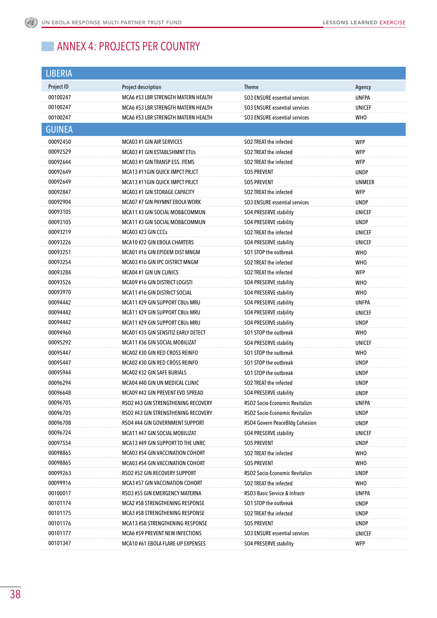# **ANNEX 4: PROJECTS PER COUNTRY**

| <b>LIBERIA</b> |                                     |                                      |               |
|----------------|-------------------------------------|--------------------------------------|---------------|
| Project ID     | Project description                 | <b>Theme</b>                         | Agency        |
| 00100247       | MCA6 #53 LBR STRENGTH MATERN HEALTH | SO3 ENSURE essential services        | <b>UNFPA</b>  |
| 00100247       | MCA6 #53 LBR STRENGTH MATERN HEALTH | <b>SO3 ENSURE essential services</b> | <b>UNICEF</b> |
| 00100247       | MCA6 #53 LBR STRENGTH MATERN HEALTH | SO3 ENSURE essential services        | <b>WHO</b>    |
| <b>GUINEA</b>  |                                     |                                      |               |
| 00092450       | <b>MCA03 #1 GIN AIR SERVICES</b>    | SO2 TREAT the infected               | <b>WFP</b>    |
| 00092529       | MCA03 #1 GIN ESTABLSHMNT ETUs       | SO2 TREAT the infected               | WFP           |
| 00092644       | MCA03 #1 GIN TRANSP ESS. ITEMS      | SO2 TREAT the infected               | <b>WFP</b>    |
| 00092649       | MCA13 #11GIN QUICK IMPCT PRJCT      | <b>SO5 PREVENT</b>                   | <b>UNDP</b>   |
| 00092649       | MCA13 #11GIN QUICK IMPCT PRJCT      | <b>SO5 PREVENT</b>                   | <b>UNMEER</b> |
| 00092847       | MCA03 #1 GIN STORAGE CAPACITY       | SO2 TREAT the infected               | <b>WFP</b>    |
| 00092904       | MCA07 #7 GIN PAYMNT EBOLA WORK      | SO3 ENSURE essential services        | <b>UNDP</b>   |
| 00093105       | MCA11 #3 GIN SOCIAL MOB&COMMUN      | SO4 PRESERVE stability               | <b>UNICEF</b> |
| 00093105       | MCA11 #3 GIN SOCIAL MOB&COMMUN      | <b>SO4 PRESERVE stability</b>        | <b>UNDP</b>   |
| 00093219       | MCA03 #23 GIN CCCs                  | SO2 TREAT the infected               | <b>UNICEF</b> |
| 00093226       | MCA10 #22 GIN EBOLA CHARTERS        | <b>SO4 PRESERVE stability</b>        | <b>UNICEF</b> |
| 00093251       | MCA01 #16 GIN EPIDEM DIST MNGM      | SO1 STOP the outbreak                | <b>WHO</b>    |
| 00093254       | MCA03 #16 GIN IPC DISTRCT MNGM      | SO2 TREAT the infected               | <b>WHO</b>    |
| 00093284       | <b>MCA04 #1 GIN UN CLINICS</b>      | SO2 TREAT the infected               | <b>WFP</b>    |
| 00093526       | MCA09 #16 GIN DISTRICT LOGISTI      | SO4 PRESERVE stability               | <b>WHO</b>    |
| 00093970       | MCA11 #16 GIN DISTRICT SOCIAL       | <b>SO4 PRESERVE stability</b>        | <b>WHO</b>    |
| 00094442       | MCA11 #29 GIN SUPPORT CBUs MRU      | <b>SO4 PRESERVE stability</b>        | <b>UNFPA</b>  |
| 00094442       | MCA11 #29 GIN SUPPORT CBUs MRU      | <b>SO4 PRESERVE stability</b>        | <b>UNICEF</b> |
| 00094442       | MCA11 #29 GIN SUPPORT CBUs MRU      | <b>SO4 PRESERVE stability</b>        | <b>UNDP</b>   |
| 00094960       | MCA01 #35 GIN SENSITIZ EARLY DETECT | SO1 STOP the outbreak                | <b>WHO</b>    |
| 00095292       | MCA11 #36 GIN SOCIAL MOBILIZAT      | <b>SO4 PRESERVE stability</b>        | <b>UNICEF</b> |
| 00095447       | MCA02 #30 GIN RED CROSS REINFO      | SO1 STOP the outbreak                | <b>WHO</b>    |
| 00095447       | MCA02 #30 GIN RED CROSS REINFO      | SO1 STOP the outbreak                | <b>UNDP</b>   |
| 00095944       | MCA02 #32 GIN SAFE BURIALS          | SO1 STOP the outbreak                | <b>UNDP</b>   |
| 00096294       | MCA04 #40 GIN UN MEDICAL CLINIC     | SO2 TREAT the infected               | <b>UNDP</b>   |
| 00096648       | MCA09 #42 GIN PREVENT EVD SPREAD    | <b>SO4 PRESERVE stability</b>        | <b>UNDP</b>   |
| 00096705       | RSO2 #43 GIN STRENGTHENING RECOVERY | RSO2 Socio-Economic Revitalizn       | UNFPA         |
| 00096705       | RSO2 #43 GIN STRENGTHENING RECOVERY | RSO2 Socio-Economic Revitalizn       | <b>UNDP</b>   |
| 00096708       | RSO4 #44 GIN GOVERNMENT SUPPORT     | RSO4 Govern PeaceBldg Cohesion       | <b>UNDP</b>   |
| 00096724       | MCA11 #47 GIN SOCIAL MOBILIZAT      | <b>SO4 PRESERVE stability</b>        | UNICEF        |
| 00097554       | MCA13 #49 GIN SUPPORT TO THE UNRC   | <b>SO5 PREVENT</b>                   | <b>UNDP</b>   |
| 00098865       | MCA03 #54 GIN VACCINATION COHORT    | SO2 TREAT the infected               | <b>WHO</b>    |
| 00098865       | MCA03 #54 GIN VACCINATION COHORT    | <b>SO5 PREVENT</b>                   | <b>WHO</b>    |
| 00099263       | RSO2 #52 GIN RECOVERY SUPPORT       | RSO2 Socio-Economic Revitalizn       | <b>UNDP</b>   |
| 00099916       | MCA3 #57 GIN VACCINATION COHORT     | SO2 TREAT the infected               | <b>WHO</b>    |
| 00100017       | RSO3 #55 GIN EMERGENCY MATERNA      | RSO3 Basic Service & Infrastr        | <b>UNFPA</b>  |
| 00101174       | MCA2 #58 STRENGTHENING RESPONSE     | SO1 STOP the outbreak                | <b>UNDP</b>   |
| 00101175       | MCA3 #58 STRENGTHENING RESPONSE     | SO2 TREAT the infected               | <b>UNDP</b>   |
| 00101176       | MCA13 #58 STRENGTHENING RESPONSE    | <b>SO5 PREVENT</b>                   | <b>UNDP</b>   |
| 00101177       | MCA6 #59 PREVENT NEW INFECTIONS     | SO3 ENSURE essential services        | <b>UNICEF</b> |
| 00101347       | MCA10 #61 EBOLA FLARE-UP EXPENSES   | <b>SO4 PRESERVE stability</b>        | <b>WFP</b>    |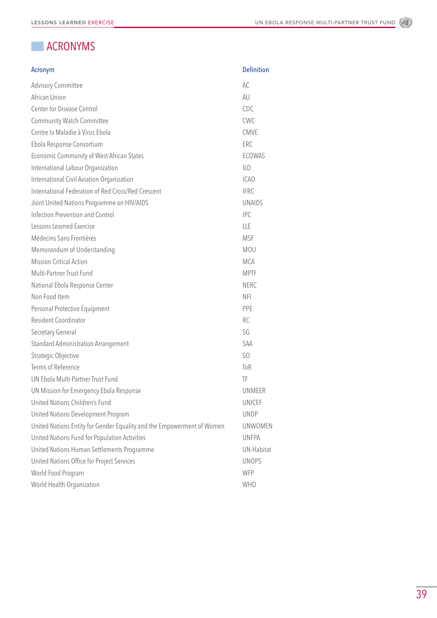## **ACRONYMS**

| Acronym                                                                | <b>Definition</b> |
|------------------------------------------------------------------------|-------------------|
| <b>Advisory Committee</b>                                              | AC                |
| African Union                                                          | AU                |
| <b>Center for Disease Control</b>                                      | CDC               |
| <b>Community Watch Committee</b>                                       | <b>CWC</b>        |
| Contre la Maladie à Virus Ebola                                        | <b>CMVE</b>       |
| Ebola Response Consortium                                              | ERC               |
| <b>Economic Community of West African States</b>                       | ECOWAS            |
| International Labour Organization                                      | ILO               |
| International Civil Aviation Organization                              | <b>ICAO</b>       |
| International Federation of Red Cross/Red Crescent                     | <b>IFRC</b>       |
| Joint United Nations Programme on HIV/AIDS                             | <b>UNAIDS</b>     |
| Infection Prevention and Control                                       | <b>IPC</b>        |
| Lessons Learned Exercise                                               | LLE               |
| Médecins Sans Frontières                                               | <b>MSF</b>        |
| Memorandum of Understanding                                            | <b>MOU</b>        |
| <b>Mission Critical Action</b>                                         | <b>MCA</b>        |
| Multi-Partner Trust Fund                                               | <b>MPTF</b>       |
| National Ebola Response Center                                         | <b>NERC</b>       |
| Non-Food Item                                                          | <b>NFI</b>        |
| Personal Protective Equipment                                          | PPE               |
| <b>Resident Coordinator</b>                                            | <b>RC</b>         |
| Secretary General                                                      | SG                |
| <b>Standard Administration Arrangement</b>                             | SAA               |
| Strategic Objective                                                    | SO.               |
| Terms of Reference                                                     | ToR               |
| UN Ebola Multi-Partner Trust Fund                                      | TF                |
| UN Mission for Emergency Ebola Response                                | <b>UNMEER</b>     |
| United Nations Children's Fund                                         | <b>UNICEF</b>     |
| United Nations Development Program                                     | <b>UNDP</b>       |
| United Nations Entity for Gender Equality and the Empowerment of Women | <b>UNWOMEN</b>    |
| United Nations Fund for Population Activities                          | <b>UNFPA</b>      |
| United Nations Human Settlements Programme                             | UN-Habitat        |
| United Nations Office for Project Services                             | <b>UNOPS</b>      |
| World Food Program                                                     | WFP               |
| World Health Organization                                              | <b>WHO</b>        |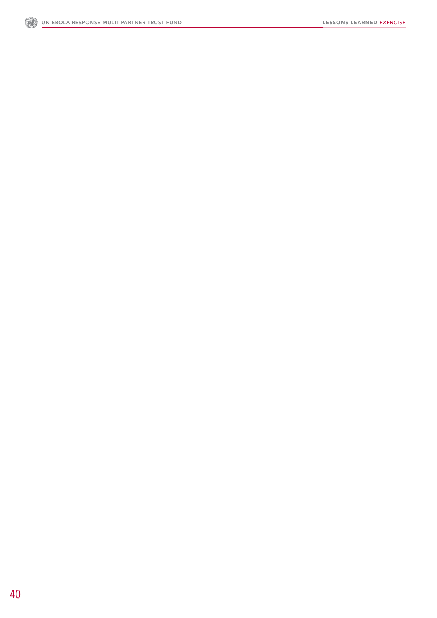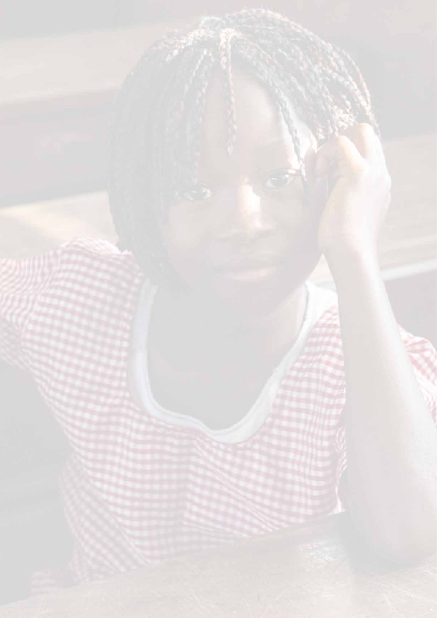